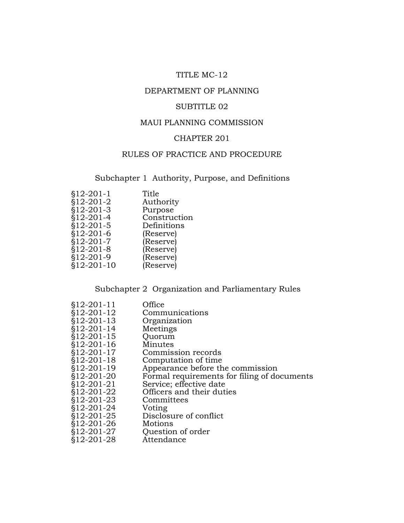## TITLE MC-12

## DEPARTMENT OF PLANNING

## SUBTITLE 02

### MAUI PLANNING COMMISSION

## CHAPTER 201

## RULES OF PRACTICE AND PROCEDURE

Subchapter 1 Authority, Purpose, and Definitions

| $$12-201-1$  | Title        |
|--------------|--------------|
| $$12-201-2$  | Authority    |
| $$12-201-3$  | Purpose      |
| $$12-201-4$  | Construction |
| $$12-201-5$  | Definitions  |
| $$12-201-6$  | (Reserve)    |
| $$12-201-7$  | (Reserve)    |
| $$12-201-8$  | (Reserve)    |
| $$12-201-9$  | (Reserve)    |
| $$12-201-10$ | (Reserve)    |
|              |              |

## Subchapter 2 Organization and Parliamentary Rules

| $$12-201-11$ | Office                                      |
|--------------|---------------------------------------------|
| $$12-201-12$ | Communications                              |
| $$12-201-13$ | Organization                                |
| \$12-201-14  | Meetings                                    |
| $$12-201-15$ | Quorum                                      |
| §12-201-16   | Minutes                                     |
| $$12-201-17$ | Commission records                          |
| $$12-201-18$ | Computation of time                         |
| $$12-201-19$ | Appearance before the commission            |
| $$12-201-20$ | Formal requirements for filing of documents |
| $$12-201-21$ | Service; effective date                     |
| \$12-201-22  | Officers and their duties                   |
| $$12-201-23$ | Committees                                  |
| \$12-201-24  | Voting                                      |
| \$12-201-25  | Disclosure of conflict                      |
| $$12-201-26$ | Motions                                     |
| \$12-201-27  | Question of order                           |
| \$12-201-28  | Attendance                                  |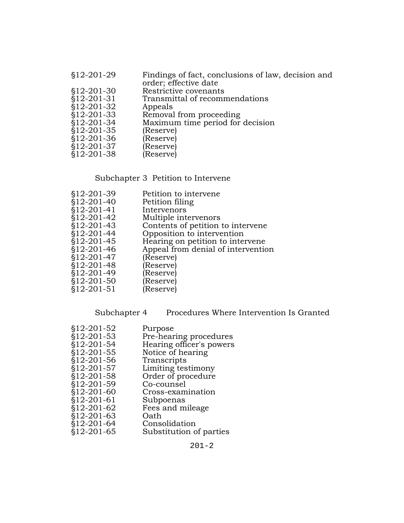| order; effective date                           |  |
|-------------------------------------------------|--|
| $$12-201-30$<br>Restrictive covenants           |  |
| \$12-201-31<br>Transmittal of recommendations   |  |
| $$12-201-32$<br>Appeals                         |  |
| $$12-201-33$<br>Removal from proceeding         |  |
| Maximum time period for decision<br>\$12-201-34 |  |
| $$12-201-35$<br>(Reserve)                       |  |
| $$12-201-36$<br>(Reserve)                       |  |
| $$12-201-37$<br>(Reserve)                       |  |
| $$12-201-38$<br>(Reserve)                       |  |

# Subchapter 3 Petition to Intervene

| \$12-201-39  | Petition to intervene              |
|--------------|------------------------------------|
| $$12-201-40$ | Petition filing                    |
| $$12-201-41$ | Intervenors                        |
| §12-201-42   | Multiple intervenors               |
| $$12-201-43$ | Contents of petition to intervene  |
| §12-201-44   | Opposition to intervention         |
| §12-201-45   | Hearing on petition to intervene   |
| §12-201-46   | Appeal from denial of intervention |
| $$12-201-47$ | (Reserve)                          |
| $$12-201-48$ | (Reserve)                          |
| §12-201-49   | (Reserve)                          |
| $$12-201-50$ | (Reserve)                          |
| $$12-201-51$ | (Reserve)                          |
|              |                                    |

Subchapter 4 Procedures Where Intervention Is Granted

| Purpose                  |
|--------------------------|
| Pre-hearing procedures   |
| Hearing officer's powers |
| Notice of hearing        |
| Transcripts              |
| Limiting testimony       |
| Order of procedure       |
| Co-counsel               |
| Cross-examination        |
| Subpoenas                |
| Fees and mileage         |
| Oath                     |
| Consolidation            |
| Substitution of parties  |
|                          |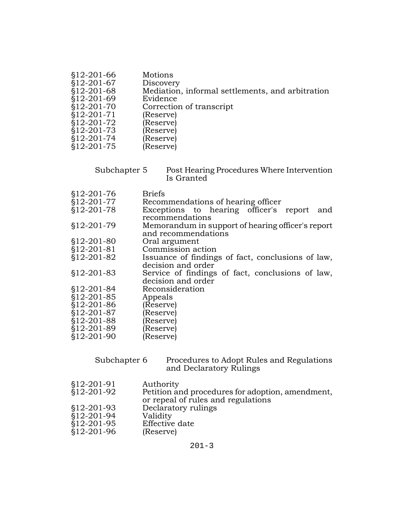| Mediation, informal settlements, and arbitration |
|--------------------------------------------------|
|                                                  |
|                                                  |
|                                                  |
|                                                  |
|                                                  |
|                                                  |
|                                                  |
|                                                  |

| Subchapter 5 | Post Hearing Procedures Where Intervention |
|--------------|--------------------------------------------|
|              | Is Granted                                 |

| \$12-201-76  | Briefs                                            |
|--------------|---------------------------------------------------|
| §12-201-77   | Recommendations of hearing officer                |
| §12-201-78   | Exceptions to hearing officer's report<br>and     |
|              | recommendations                                   |
| \$12-201-79  | Memorandum in support of hearing officer's report |
|              | and recommendations                               |
| $$12-201-80$ | Oral argument                                     |
| $$12-201-81$ | Commission action                                 |
| §12-201-82   | Issuance of findings of fact, conclusions of law, |
|              | decision and order                                |
| $$12-201-83$ | Service of findings of fact, conclusions of law,  |
|              | decision and order                                |
| $$12-201-84$ | Reconsideration                                   |
| \$12-201-85  | Appeals                                           |
| $$12-201-86$ | (Reserve)                                         |
| $$12-201-87$ | (Reserve)                                         |
| \$12-201-88  | (Reserve                                          |
| §12-201-89   | (Reserve)                                         |
| \$12-201-90  | (Reserve                                          |

| Subchapter 6              | Procedures to Adopt Rules and Regulations<br>and Declaratory Rulings                                |
|---------------------------|-----------------------------------------------------------------------------------------------------|
| §12-201-91<br>\$12-201-92 | Authority<br>Petition and procedures for adoption, amendment,<br>or repeal of rules and regulations |
| $$12-201-93$              | Declaratory rulings                                                                                 |
| §12-201-94                | Validity                                                                                            |
| $$12-201-95$              | Effective date                                                                                      |
| §12-201-96                | (Reserve)                                                                                           |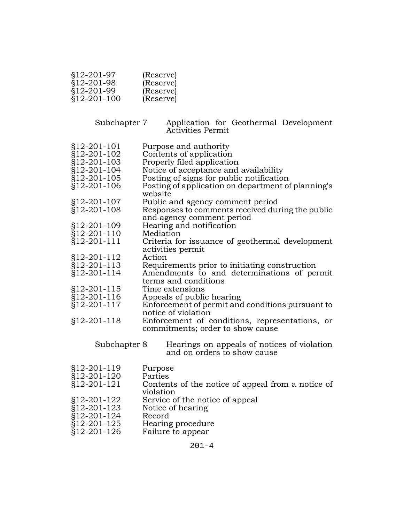| $$12-201-97$ | (Reserve) |
|--------------|-----------|
| \$12-201-98  | (Reserve) |
| \$12-201-99  | (Reserve) |
| \$12-201-100 | (Reserve) |

Subchapter 7 Application for Geothermal Development Activities Permit

- §12-201-101 Purpose and authority
- §12-201-102 Contents of application
- §12-201-103 Properly filed application
- §12-201-104 Notice of acceptance and availability
- §12-201-105 Posting of signs for public notification
- Posting of application on department of planning's website
- §12-201-107 Public and agency comment period
- §12-201-108 Responses to comments received during the public and agency comment period
- §12-201-109 Hearing and notification
- §12-201-110 Mediation
- §12-201-111 Criteria for issuance of geothermal development activities permit
- §12-201-112 Action
- Requirements prior to initiating construction
- §12-201-114 Amendments to and determinations of permit terms and conditions
- §12-201-115 Time extensions
- §12-201-116 Appeals of public hearing
- §12-201-117 Enforcement of permit and conditions pursuant to notice of violation
- §12-201-118 Enforcement of conditions, representations, or commitments; order to show cause

Subchapter 8 Hearings on appeals of notices of violation and on orders to show cause

§12-201-119 Purpose §12-201-120 Parties §12-201-121 Contents of the notice of appeal from a notice of violation §12-201-122 Service of the notice of appeal §12-201-123 Notice of hearing §12-201-124 Record §12-201-125 Hearing procedure<br>§12-201-126 Failure to appear Failure to appear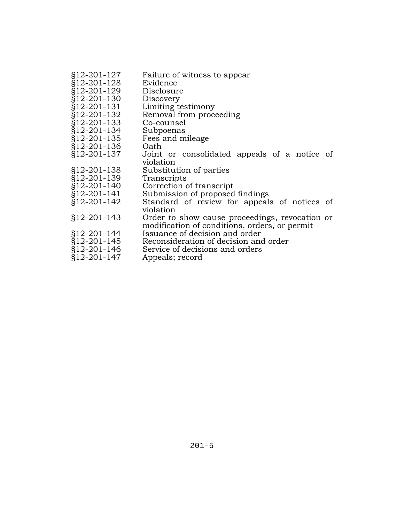| §12-201-127   | Failure of witness to appear                   |
|---------------|------------------------------------------------|
| §12-201-128   | Evidence                                       |
| §12-201-129   | Disclosure                                     |
| §12-201-130   | Discovery                                      |
| §12-201-131   | Limiting testimony                             |
| §12-201-132   | Removal from proceeding                        |
| §12-201-133   | Co-counsel                                     |
| §12-201-134   | Subpoenas                                      |
| §12-201-135   | Fees and mileage                               |
| §12-201-136   | Oath                                           |
| §12-201-137   | Joint or consolidated appeals of a notice of   |
|               | violation                                      |
| $§12-201-138$ | Substitution of parties                        |
| §12-201-139   | Transcripts                                    |
| §12-201-140   | Correction of transcript                       |
| §12-201-141   | Submission of proposed findings                |
| §12-201-142   | Standard of review for appeals of notices of   |
|               | violation                                      |
| $§12-201-143$ | Order to show cause proceedings, revocation or |
|               | modification of conditions, orders, or permit  |
| §12-201-144   | Issuance of decision and order                 |
| §12-201-145   | Reconsideration of decision and order          |
| $$12-201-146$ | Service of decisions and orders                |
| $§12-201-147$ | Appeals; record                                |
|               |                                                |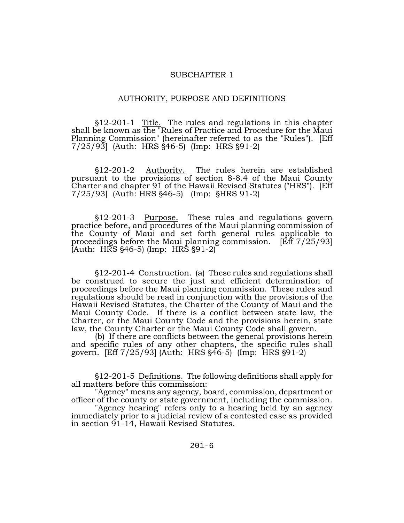#### SUBCHAPTER 1

#### AUTHORITY, PURPOSE AND DEFINITIONS

§12-201-1 Title. The rules and regulations in this chapter shall be known as the "Rules of Practice and Procedure for the Maui Planning Commission" (hereinafter referred to as the "Rules"). [Eff 7/25/93] (Auth: HRS §46-5) (Imp: HRS §91-2)

§12-201-2 <u>Authority.</u> The rules herein are established pursuant to the provisions of section 8-8.4 of the Maui County Charter and chapter 91 of the Hawaii Revised Statutes ("HRS"). [Eff  $7/25/93$  (Auth: HRS  $§46-5$ ) (Imp:  $§HRS 91-2$ )

'12-201-3 Purpose. These rules and regulations govern practice before, and procedures of the Maui planning commission of the County of Maui and set forth general rules applicable to proceedings before the Maui planning commission. [Eff 7/25/93]  $(Auth: HRS §46-5)$  (Imp: HRS §91-2)

'12-201-4 Construction. (a) These rules and regulations shall be construed to secure the just and efficient determination of proceedings before the Maui planning commission. These rules and regulations should be read in conjunction with the provisions of the Hawaii Revised Statutes, the Charter of the County of Maui and the Maui County Code. If there is a conflict between state law, the Charter, or the Maui County Code and the provisions herein, state law, the County Charter or the Maui County Code shall govern.

(b) If there are conflicts between the general provisions herein and specific rules of any other chapters, the specific rules shall govern. [Eff  $7/25/93$ ] (Auth: HRS  $§46-5$ ) (Imp: HRS  $§91-2$ )

'12-201-5 Definitions. The following definitions shall apply for all matters before this commission:

"Agency" means any agency, board, commission, department or officer of the county or state government, including the commission.

"Agency hearing" refers only to a hearing held by an agency immediately prior to a judicial review of a contested case as provided in section 91-14, Hawaii Revised Statutes.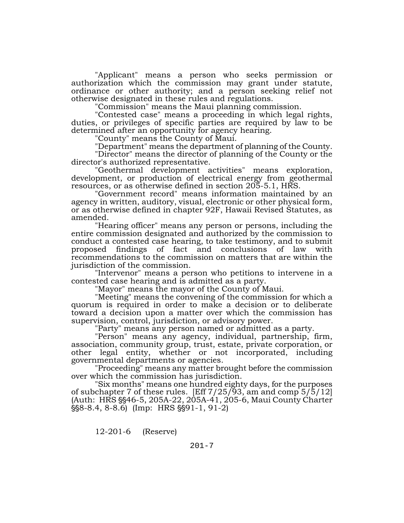"Applicant" means a person who seeks permission or authorization which the commission may grant under statute, ordinance or other authority; and a person seeking relief not otherwise designated in these rules and regulations.

"Commission" means the Maui planning commission.

"Contested case" means a proceeding in which legal rights, duties, or privileges of specific parties are required by law to be determined after an opportunity for agency hearing.

"County" means the County of Maui.

"Department" means the department of planning of the County.

"Director" means the director of planning of the County or the director's authorized representative.

"Geothermal development activities" means exploration, development, or production of electrical energy from geothermal resources, or as otherwise defined in section 205-5.1, HRS.

"Government record" means information maintained by an agency in written, auditory, visual, electronic or other physical form, or as otherwise defined in chapter 92F, Hawaii Revised Statutes, as amended.

"Hearing officer" means any person or persons, including the entire commission designated and authorized by the commission to conduct a contested case hearing, to take testimony, and to submit proposed findings of fact and conclusions of law with recommendations to the commission on matters that are within the jurisdiction of the commission.

"Intervenor" means a person who petitions to intervene in a contested case hearing and is admitted as a party.

"Mayor" means the mayor of the County of Maui.

"Meeting" means the convening of the commission for which a quorum is required in order to make a decision or to deliberate toward a decision upon a matter over which the commission has supervision, control, jurisdiction, or advisory power.

"Party" means any person named or admitted as a party.

"Person" means any agency, individual, partnership, firm, association, community group, trust, estate, private corporation, or other legal entity, whether or not incorporated, including governmental departments or agencies.

"Proceeding" means any matter brought before the commission over which the commission has jurisdiction.

"Six months" means one hundred eighty days, for the purposes of subchapter 7 of these rules. [Eff  $7/25/93$ , am and comp  $5/5/12$ ] (Auth: HRS  $\S$ \$46-5, 205A-22, 205A-41, 205-6, Maui County Charter \text{\frac{\frac{\$\\$\$8.4, 8-8.6) (Imp: HRS \\$\$91-1, 91-2)

12-201-6 (Reserve)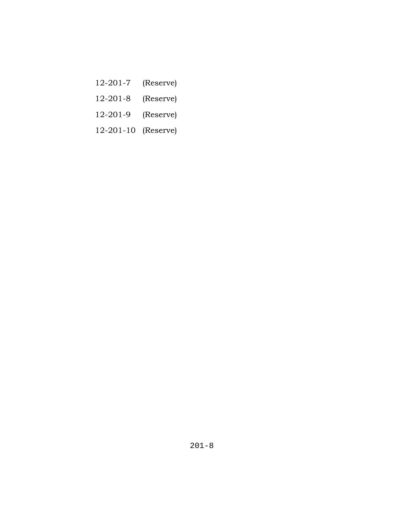- 12-201-7 (Reserve)
- 12-201-8 (Reserve)
- 12-201-9 (Reserve)
- 12-201-10 (Reserve)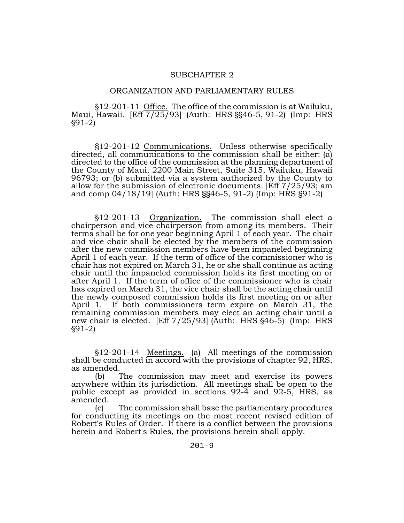#### SUBCHAPTER 2

#### ORGANIZATION AND PARLIAMENTARY RULES

'12-201-11 Office. The office of the commission is at Wailuku, Maui, Hawaii.  $[Eff 7/25/93]$  (Auth: HRS  $\S$ §46-5, 91-2) (Imp: HRS '91-2)

§12-201-12 Communications. Unless otherwise specifically directed, all communications to the commission shall be either: (a) directed to the office of the commission at the planning department of the County of Maui, 2200 Main Street, Suite 315, Wailuku, Hawaii 96793; or (b) submitted via a system authorized by the County to allow for the submission of electronic documents. [Eff 7/25/93; am and comp 04/18/19] (Auth: HRS §§46-5, 91-2) (Imp: HRS §91-2)

'12-201-13 Organization. The commission shall elect a chairperson and vice-chairperson from among its members. Their terms shall be for one year beginning April 1 of each year. The chair and vice chair shall be elected by the members of the commission after the new commission members have been impaneled beginning April 1 of each year. If the term of office of the commissioner who is chair has not expired on March 31, he or she shall continue as acting chair until the impaneled commission holds its first meeting on or after April 1. If the term of office of the commissioner who is chair has expired on March 31, the vice chair shall be the acting chair until the newly composed commission holds its first meeting on or after April 1. If both commissioners term expire on March 31, the remaining commission members may elect an acting chair until a new chair is elected.  $[Eff 7/25/93]$  (Auth: HRS  $§46-5$ ) (Imp: HRS '91-2)

'12-201-14 Meetings. (a) All meetings of the commission shall be conducted in accord with the provisions of chapter 92, HRS, as amended.

(b) The commission may meet and exercise its powers anywhere within its jurisdiction. All meetings shall be open to the public except as provided in sections 92-4 and 92-5, HRS, as amended.

(c) The commission shall base the parliamentary procedures for conducting its meetings on the most recent revised edition of Robert's Rules of Order. If there is a conflict between the provisions herein and Robert's Rules, the provisions herein shall apply.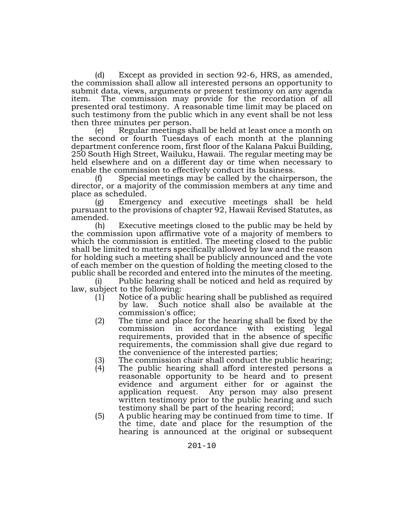(d) Except as provided in section 92-6, HRS, as amended, the commission shall allow all interested persons an opportunity to submit data, views, arguments or present testimony on any agenda item. The commission may provide for the recordation of all presented oral testimony. A reasonable time limit may be placed on such testimony from the public which in any event shall be not less then three minutes per person.

(e) Regular meetings shall be held at least once a month on the second or fourth Tuesdays of each month at the planning department conference room, first floor of the Kalana Pakui Building, 250 South High Street, Wailuku, Hawaii. The regular meeting may be held elsewhere and on a different day or time when necessary to enable the commission to effectively conduct its business.

Special meetings may be called by the chairperson, the director, or a majority of the commission members at any time and place as scheduled.

(g) Emergency and executive meetings shall be held pursuant to the provisions of chapter 92, Hawaii Revised Statutes, as amended.

(h) Executive meetings closed to the public may be held by the commission upon affirmative vote of a majority of members to which the commission is entitled. The meeting closed to the public shall be limited to matters specifically allowed by law and the reason for holding such a meeting shall be publicly announced and the vote of each member on the question of holding the meeting closed to the public shall be recorded and entered into the minutes of the meeting.

Public hearing shall be noticed and held as required by law, subject to the following:

- $(1)$  Notice of a public hearing shall be published as required by law. Such notice shall also be available at the commission's office;
- (2) The time and place for the hearing shall be fixed by the commission in accordance with existing legal requirements, provided that in the absence of specific requirements, the commission shall give due regard to the convenience of the interested parties;
- 
- (3) The commission chair shall conduct the public hearing;<br>(4) The public hearing shall afford interested persons a The public hearing shall afford interested persons a reasonable opportunity to be heard and to present evidence and argument either for or against the application request. Any person may also present written testimony prior to the public hearing and such testimony shall be part of the hearing record;
- (5) A public hearing may be continued from time to time. If the time, date and place for the resumption of the hearing is announced at the original or subsequent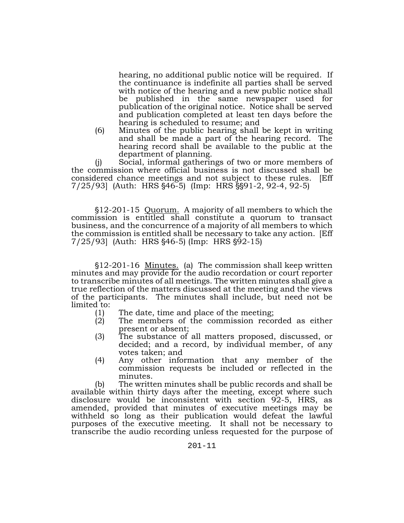hearing, no additional public notice will be required. If the continuance is indefinite all parties shall be served with notice of the hearing and a new public notice shall be published in the same newspaper used for publication of the original notice. Notice shall be served and publication completed at least ten days before the hearing is scheduled to resume; and

(6) Minutes of the public hearing shall be kept in writing and shall be made a part of the hearing record. The hearing record shall be available to the public at the department of planning.

(j) Social, informal gatherings of two or more members of the commission where official business is not discussed shall be considered chance meetings and not subject to these rules. [Eff  $7/25/93$  (Auth: HRS  $$46-5$ ) (Imp: HRS  $$891-2, 92-4, 92-5$ )

'12-201-15 Quorum. A majority of all members to which the commission is entitled shall constitute a quorum to transact business, and the concurrence of a majority of all members to which the commission is entitled shall be necessary to take any action. [Eff  $7/25/93$  (Auth: HRS  $§46-5$ ) (Imp: HRS  $§92-15$ )

'12-201-16 Minutes. (a) The commission shall keep written minutes and may provide for the audio recordation or court reporter to transcribe minutes of all meetings. The written minutes shall give a true reflection of the matters discussed at the meeting and the views of the participants. The minutes shall include, but need not be limited to:

- (1) The date, time and place of the meeting;
- (2) The members of the commission recorded as either present or absent;
- (3) The substance of all matters proposed, discussed, or decided; and a record, by individual member, of any votes taken; and
- (4) Any other information that any member of the commission requests be included or reflected in the minutes.

(b) The written minutes shall be public records and shall be available within thirty days after the meeting, except where such disclosure would be inconsistent with section 92-5, HRS, as amended, provided that minutes of executive meetings may be withheld so long as their publication would defeat the lawful purposes of the executive meeting. It shall not be necessary to transcribe the audio recording unless requested for the purpose of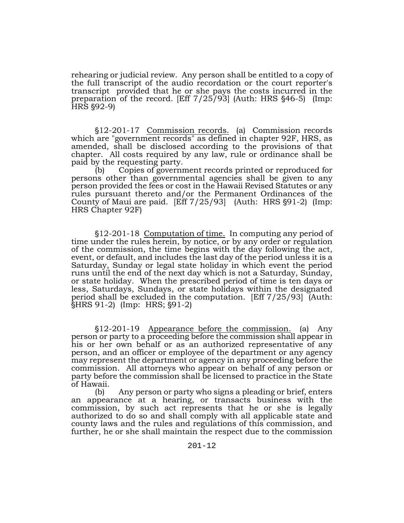rehearing or judicial review. Any person shall be entitled to a copy of the full transcript of the audio recordation or the court reporter's transcript provided that he or she pays the costs incurred in the preparation of the record.  $[Eff 7/25/93]$  (Auth: HRS  $§46-5$ ) (Imp:  $HRS$   $$92-9$ )

'12-201-17 Commission records. (a) Commission records which are "government records" as defined in chapter 92F, HRS, as amended, shall be disclosed according to the provisions of that chapter. All costs required by any law, rule or ordinance shall be paid by the requesting party.

(b) Copies of government records printed or reproduced for persons other than governmental agencies shall be given to any person provided the fees or cost in the Hawaii Revised Statutes or any rules pursuant thereto and/or the Permanent Ordinances of the County of Maui are paid.  $[Eff 7/25/93]$  (Auth: HRS  $§91-2$ ) (Imp: HRS Chapter 92F)

'12-201-18 Computation of time. In computing any period of time under the rules herein, by notice, or by any order or regulation of the commission, the time begins with the day following the act, event, or default, and includes the last day of the period unless it is a Saturday, Sunday or legal state holiday in which event the period runs until the end of the next day which is not a Saturday, Sunday, or state holiday. When the prescribed period of time is ten days or less, Saturdays, Sundays, or state holidays within the designated period shall be excluded in the computation. [Eff 7/25/93] (Auth:  $$HRS 91-2]$  (Imp: HRS;  $$91-2]$ )

'12-201-19 Appearance before the commission. (a) Any person or party to a proceeding before the commission shall appear in his or her own behalf or as an authorized representative of any person, and an officer or employee of the department or any agency may represent the department or agency in any proceeding before the commission. All attorneys who appear on behalf of any person or party before the commission shall be licensed to practice in the State of Hawaii.

(b) Any person or party who signs a pleading or brief, enters an appearance at a hearing, or transacts business with the commission, by such act represents that he or she is legally authorized to do so and shall comply with all applicable state and county laws and the rules and regulations of this commission, and further, he or she shall maintain the respect due to the commission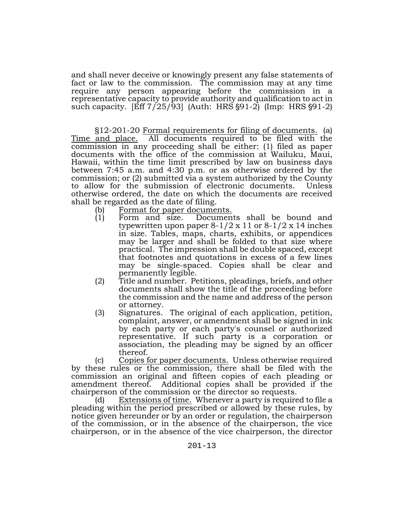and shall never deceive or knowingly present any false statements of fact or law to the commission. The commission may at any time require any person appearing before the commission in a representative capacity to provide authority and qualification to act in such capacity.  $\left[\frac{Eff}{7}/25/93\right]$  (Auth: HRS  $\S91-2$ ) (Imp: HRS  $\S91-2$ )

§12-201-20 Formal requirements for filing of documents. (a) Time and place. All documents required to be filed with the commission in any proceeding shall be either: (1) filed as paper documents with the office of the commission at Wailuku, Maui, Hawaii, within the time limit prescribed by law on business days between 7:45 a.m. and 4:30 p.m. or as otherwise ordered by the commission; or (2) submitted via a system authorized by the County to allow for the submission of electronic documents. Unless otherwise ordered, the date on which the documents are received shall be regarded as the date of filing.

- (b) Format for paper documents.<br>(1) Form and size. Documen
- Form and size. Documents shall be bound and typewritten upon paper  $8-1/2 \times 11$  or  $8-1/2 \times 14$  inches in size. Tables, maps, charts, exhibits, or appendices may be larger and shall be folded to that size where practical. The impression shall be double spaced, except that footnotes and quotations in excess of a few lines may be single-spaced. Copies shall be clear and permanently legible.
- (2) Title and number. Petitions, pleadings, briefs, and other documents shall show the title of the proceeding before the commission and the name and address of the person or attorney.
- (3) Signatures. The original of each application, petition, complaint, answer, or amendment shall be signed in ink by each party or each party's counsel or authorized representative. If such party is a corporation or association, the pleading may be signed by an officer thereof.

(c) Copies for paper documents. Unless otherwise required by these rules or the commission, there shall be filed with the commission an original and fifteen copies of each pleading or amendment thereof. Additional copies shall be provided if the chairperson of the commission or the director so requests.

(d) Extensions of time. Whenever a party is required to file a pleading within the period prescribed or allowed by these rules, by notice given hereunder or by an order or regulation, the chairperson of the commission, or in the absence of the chairperson, the vice chairperson, or in the absence of the vice chairperson, the director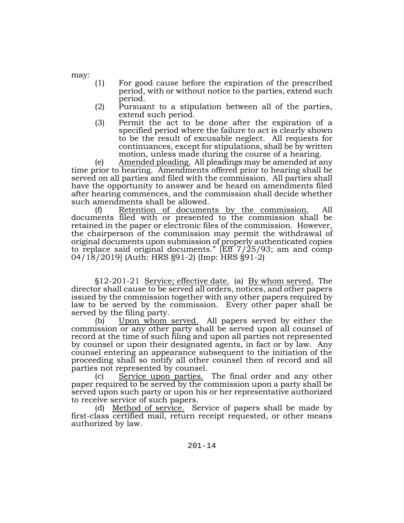may:

- (1) For good cause before the expiration of the prescribed period, with or without notice to the parties, extend such
- period. (2) Pursuant to a stipulation between all of the parties,
- extend such period.<br>
(3) Permit the act to be done after the expiration of a specified period where the failure to act is clearly shown to be the result of excusable neglect. All requests for continuances, except for stipulations, shall be by written motion, unless made during the course of a hearing.

(e) Amended pleading. All pleadings may be amended at any time prior to hearing. Amendments offered prior to hearing shall be served on all parties and filed with the commission. All parties shall have the opportunity to answer and be heard on amendments filed after hearing commences, and the commission shall decide whether such amendments shall be allowed.

(f) Retention of documents by the commission. All documents filed with or presented to the commission shall be retained in the paper or electronic files of the commission. However, the chairperson of the commission may permit the withdrawal of original documents upon submission of properly authenticated copies to replace said original documents."  $[Eff^-7/25/93;$  am and comp 04/18/2019] (Auth: HRS §91-2) (Imp: HRS §91-2)

\$12-201-21 <u>Service; effective date.</u> (a) By whom served. The director shall cause to be served all orders, notices, and other papers issued by the commission together with any other papers required by law to be served by the commission. Every other paper shall be served by the filing party.

(b) Upon whom served. All papers served by either the commission or any other party shall be served upon all counsel of record at the time of such filing and upon all parties not represented by counsel or upon their designated agents, in fact or by law. Any counsel entering an appearance subsequent to the initiation of the proceeding shall so notify all other counsel then of record and all parties not represented by counsel.

(c) Service upon parties. The final order and any other paper required to be served by the commission upon a party shall be served upon such party or upon his or her representative authorized to receive service of such papers.

(d) Method of service. Service of papers shall be made by first-class certified mail, return receipt requested, or other means authorized by law.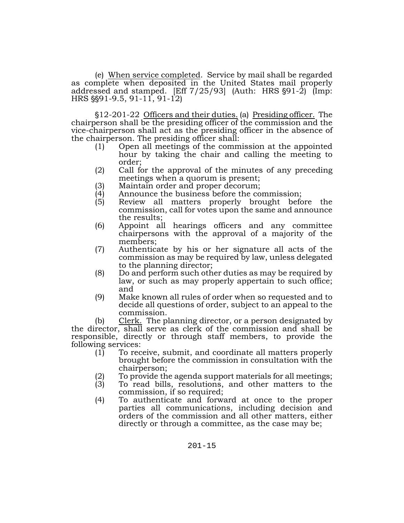(e) When service completed. Service by mail shall be regarded as complete when deposited in the United States mail properly addressed and stamped. [Eff  $7/25/93$ ] (Auth: HRS  $\S91-2$ ) (Imp:  $HRS$   $\S$ §91-9.5, 91-11, 91-12)

'12-201-22 Officers and their duties. (a) Presiding officer. The chairperson shall be the presiding officer of the commission and the vice-chairperson shall act as the presiding officer in the absence of the chairperson. The presiding officer shall:

- (1) Open all meetings of the commission at the appointed hour by taking the chair and calling the meeting to order;
- (2) Call for the approval of the minutes of any preceding meetings when a quorum is present;
- 
- (3) Maintain order and proper decorum;<br>(4) Announce the business before the co (4) Announce the business before the commission;<br>(5) Review all matters properly brought befo
- Review all matters properly brought before the commission, call for votes upon the same and announce the results;
- (6) Appoint all hearings officers and any committee chairpersons with the approval of a majority of the members;
- (7) Authenticate by his or her signature all acts of the commission as may be required by law, unless delegated to the planning director;
- (8) Do and perform such other duties as may be required by law, or such as may properly appertain to such office; and
- (9) Make known all rules of order when so requested and to decide all questions of order, subject to an appeal to the commission.

(b) Clerk. The planning director, or a person designated by the director, shall serve as clerk of the commission and shall be responsible, directly or through staff members, to provide the following services:

- $(1)$  To receive, submit, and coordinate all matters properly brought before the commission in consultation with the chairperson;
- To provide the agenda support materials for all meetings;
- (3) To read bills, resolutions, and other matters to the commission, if so required;
- (4) To authenticate and forward at once to the proper parties all communications, including decision and orders of the commission and all other matters, either directly or through a committee, as the case may be;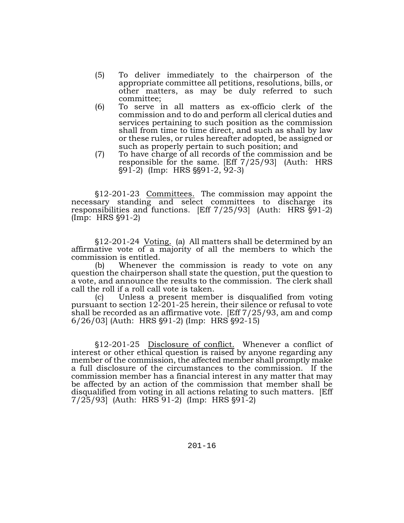- (5) To deliver immediately to the chairperson of the appropriate committee all petitions, resolutions, bills, or other matters, as may be duly referred to such committee;
- (6) To serve in all matters as ex-officio clerk of the commission and to do and perform all clerical duties and services pertaining to such position as the commission shall from time to time direct, and such as shall by law or these rules, or rules hereafter adopted, be assigned or such as properly pertain to such position; and
- (7) To have charge of all records of the commission and be responsible for the same. [Eff 7/25/93] (Auth: HRS §91-2) (Imp: HRS §§91-2, 92-3)

'12-201-23 Committees. The commission may appoint the necessary standing and select committees to discharge its responsibilities and functions. [Eff  $7/25/93$ ] (Auth: HRS  $\S$ 91-2)  $(Imp: HRS §91-2)$ 

'12-201-24 Voting. (a) All matters shall be determined by an affirmative vote of a majority of all the members to which the commission is entitled.

(b) Whenever the commission is ready to vote on any question the chairperson shall state the question, put the question to a vote, and announce the results to the commission. The clerk shall call the roll if a roll call vote is taken.

(c) Unless a present member is disqualified from voting pursuant to section 12-201-25 herein, their silence or refusal to vote shall be recorded as an affirmative vote. [Eff 7/25/93, am and comp  $6/26/03$  (Auth: HRS  $\S91-2$ ) (Imp: HRS  $\S92-15$ )

§12-201-25 Disclosure of conflict. Whenever a conflict of interest or other ethical question is raised by anyone regarding any member of the commission, the affected member shall promptly make a full disclosure of the circumstances to the commission. If the commission member has a financial interest in any matter that may be affected by an action of the commission that member shall be disqualified from voting in all actions relating to such matters. [Eff  $7/25/93$  (Auth: HRS 91-2) (Imp: HRS  $\S 91-2$ )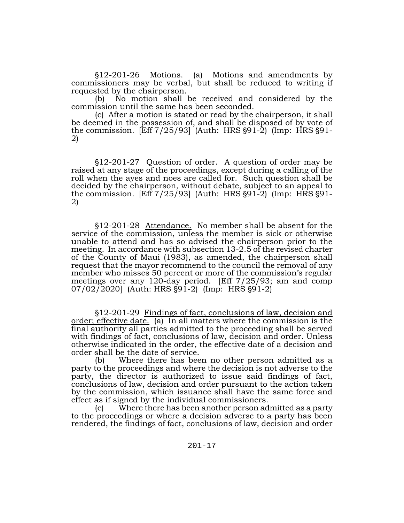\$12-201-26 Motions. (a) Motions and amendments by commissioners may be verbal, but shall be reduced to writing if requested by the chairperson.

(b) No motion shall be received and considered by the commission until the same has been seconded.

(c) After a motion is stated or read by the chairperson, it shall be deemed in the possession of, and shall be disposed of by vote of the commission. [Eff  $7/25/93$ ] (Auth: HRS  $\S91-\overline{2}$ ) (Imp: HRS  $\S91-\overline{2}$ )

'12-201-27 Question of order. A question of order may be raised at any stage of the proceedings, except during a calling of the roll when the ayes and noes are called for. Such question shall be decided by the chairperson, without debate, subject to an appeal to the commission. [Eff  $7/25/93$ ] (Auth: HRS  $\S91-2$ ) (Imp: HRS  $\S91-2$ )

§12-201-28 Attendance. No member shall be absent for the service of the commission, unless the member is sick or otherwise unable to attend and has so advised the chairperson prior to the meeting. In accordance with subsection 13-2.5 of the revised charter of the County of Maui (1983), as amended, the chairperson shall request that the mayor recommend to the council the removal of any member who misses 50 percent or more of the commission's regular meetings over any 120-day period. [Eff 7/25/93; am and comp 07/02/2020] (Auth: HRS §91-2) (Imp: HRS §91-2)

'12-201-29 Findings of fact, conclusions of law, decision and order; effective date. (a) In all matters where the commission is the final authority all parties admitted to the proceeding shall be served with findings of fact, conclusions of law, decision and order. Unless otherwise indicated in the order, the effective date of a decision and order shall be the date of service.

(b) Where there has been no other person admitted as a party to the proceedings and where the decision is not adverse to the party, the director is authorized to issue said findings of fact, conclusions of law, decision and order pursuant to the action taken by the commission, which issuance shall have the same force and effect as if signed by the individual commissioners.

(c) Where there has been another person admitted as a party to the proceedings or where a decision adverse to a party has been rendered, the findings of fact, conclusions of law, decision and order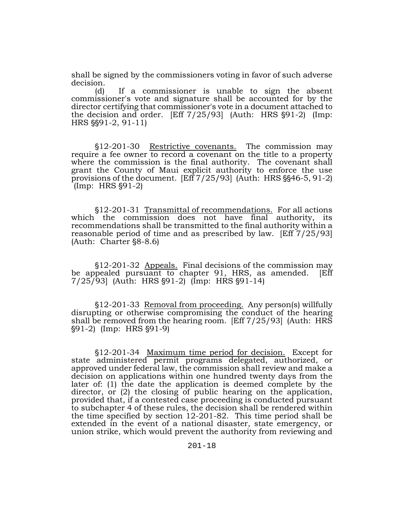shall be signed by the commissioners voting in favor of such adverse decision.

(d) If a commissioner is unable to sign the absent commissioner's vote and signature shall be accounted for by the director certifying that commissioner's vote in a document attached to the decision and order.  $[Eff 7/25/93]$  (Auth: HRS  $§91-2]$  (Imp:  $HRS$   $\S91-2, 91-11$ 

'12-201-30 Restrictive covenants. The commission may require a fee owner to record a covenant on the title to a property where the commission is the final authority. The covenant shall grant the County of Maui explicit authority to enforce the use provisions of the document.  $[Eff 7/25/93]$  (Auth: HRS  $\S 46-5, 91-2$ )  $(Imp: HRS \$ \\\\\\\ 91-2)

'12-201-31 Transmittal of recommendations. For all actions which the commission does not have final authority, its recommendations shall be transmitted to the final authority within a reasonable period of time and as prescribed by law. [Eff 7/25/93]  $(Auth: Chapter §8-8.6)$ 

'12-201-32 Appeals. Final decisions of the commission may be appealed pursuant to chapter 91, HRS, as amended. [Eff  $7/25/93$  (Auth: HRS §91-2) (Imp: HRS §91-14)

'12-201-33 Removal from proceeding. Any person(s) willfully disrupting or otherwise compromising the conduct of the hearing shall be removed from the hearing room. [Eff 7/25/93] (Auth: HRS '91-2) (Imp: HRS '91-9)

'12-201-34 Maximum time period for decision. Except for state administered permit programs delegated, authorized, or approved under federal law, the commission shall review and make a decision on applications within one hundred twenty days from the later of: (1) the date the application is deemed complete by the director, or (2) the closing of public hearing on the application, provided that, if a contested case proceeding is conducted pursuant to subchapter 4 of these rules, the decision shall be rendered within the time specified by section 12-201-82. This time period shall be extended in the event of a national disaster, state emergency, or union strike, which would prevent the authority from reviewing and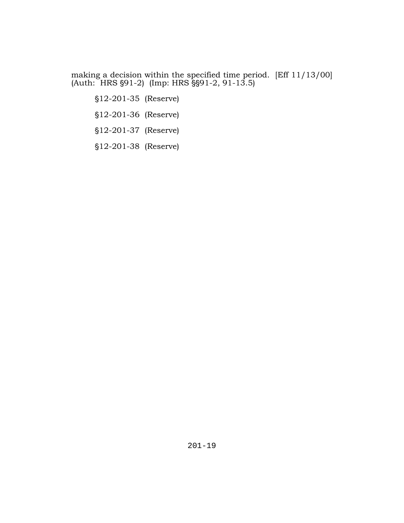making a decision within the specified time period. [Eff 11/13/00] (Auth: HRS §91-2) (Imp: HRS §§91-2, 91-13.5)

'12-201-35 (Reserve) §12-201-36 (Reserve) '12-201-37 (Reserve) '12-201-38 (Reserve)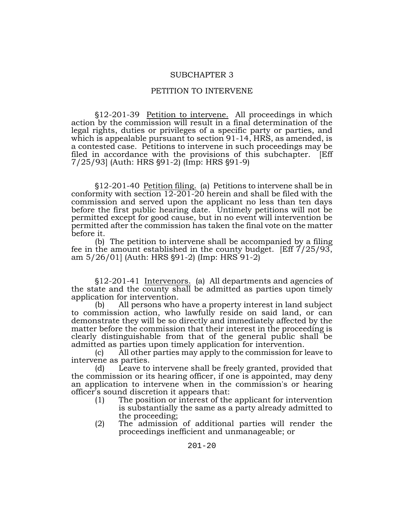#### SUBCHAPTER 3

#### PETITION TO INTERVENE

\$12-201-39 Petition to intervene. All proceedings in which action by the commission will result in a final determination of the legal rights, duties or privileges of a specific party or parties, and which is appealable pursuant to section 91-14, HRS, as amended, is a contested case. Petitions to intervene in such proceedings may be filed in accordance with the provisions of this subchapter. [Eff  $7/25/93$  (Auth: HRS  $\S91-2$ ) (Imp: HRS  $\S91-9$ )

§12-201-40 <u>Petition filing.</u> (a) Petitions to intervene shall be in conformity with section 12-201-20 herein and shall be filed with the commission and served upon the applicant no less than ten days before the first public hearing date. Untimely petitions will not be permitted except for good cause, but in no event will intervention be permitted after the commission has taken the final vote on the matter before it.

(b) The petition to intervene shall be accompanied by a filing fee in the amount established in the county budget. [Eff 7/25/93, am  $5/26/01$  (Auth: HRS §91-2) (Imp: HRS 91-2)

'12-201-41 Intervenors. (a) All departments and agencies of the state and the county shall be admitted as parties upon timely application for intervention.

(b) All persons who have a property interest in land subject to commission action, who lawfully reside on said land, or can demonstrate they will be so directly and immediately affected by the matter before the commission that their interest in the proceeding is clearly distinguishable from that of the general public shall be admitted as parties upon timely application for intervention.

(c) All other parties may apply to the commission for leave to intervene as parties.

(d) Leave to intervene shall be freely granted, provided that the commission or its hearing officer, if one is appointed, may deny an application to intervene when in the commission's or hearing officer's sound discretion it appears that:

- (1) The position or interest of the applicant for intervention is substantially the same as a party already admitted to the proceeding;
- (2) The admission of additional parties will render the proceedings inefficient and unmanageable; or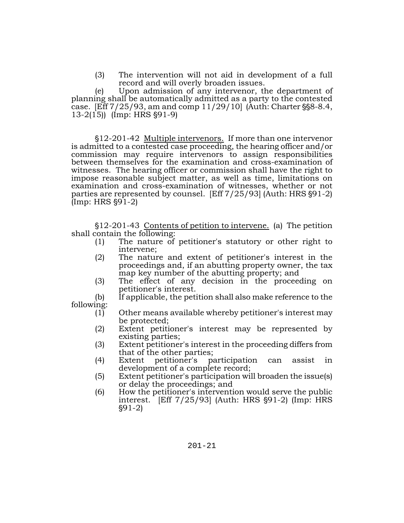(3) The intervention will not aid in development of a full record and will overly broaden issues.

(e) Upon admission of any intervenor, the department of planning shall be automatically admitted as a party to the contested case. [Eff  $7/25/93$ , am and comp  $11/29/10$ ] (Auth: Charter  $\S$ §8-8.4,  $13-2(15)$  (Imp: HRS  $\S91-9$ )

'12-201-42 Multiple intervenors. If more than one intervenor is admitted to a contested case proceeding, the hearing officer and/or commission may require intervenors to assign responsibilities between themselves for the examination and cross-examination of witnesses. The hearing officer or commission shall have the right to impose reasonable subject matter, as well as time, limitations on examination and cross-examination of witnesses, whether or not parties are represented by counsel. [Eff  $7/25/93$ ] (Auth: HRS  $\S91-2$ )  $(Imp: HRS §91-2)$ 

'12-201-43 Contents of petition to intervene. (a) The petition shall contain the following:

- (1) The nature of petitioner's statutory or other right to intervene;
- (2) The nature and extent of petitioner's interest in the proceedings and, if an abutting property owner, the tax map key number of the abutting property; and
- (3) The effect of any decision in the proceeding on petitioner's interest.

(b) If applicable, the petition shall also make reference to the following:

- $(1)$  Other means available whereby petitioner's interest may be protected;
- (2) Extent petitioner's interest may be represented by existing parties;
- (3) Extent petitioner's interest in the proceeding differs from that of the other parties;
- (4) Extent petitioner's participation can assist in development of a complete record;
- (5) Extent petitioner's participation will broaden the issue(s) or delay the proceedings; and
- (6) How the petitioner's intervention would serve the public interest.  $[Eff 7/25/93]$  (Auth: HRS  $§91-2$ ) (Imp: HRS  $§91-2)$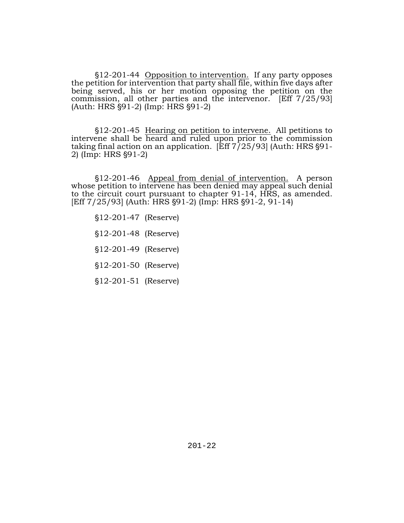'12-201-44 Opposition to intervention. If any party opposes the petition for intervention that party shall file, within five days after being served, his or her motion opposing the petition on the commission, all other parties and the intervenor. [Eff 7/25/93]  $(Auth: HRS §91-2)$  (Imp: HRS  $§91-2$ )

'12-201-45 Hearing on petition to intervene. All petitions to intervene shall be heard and ruled upon prior to the commission taking final action on an application. [Eff  $7/25/93$ ] (Auth: HRS  $\S91-2$ ) (Imp: HRS  $\S91-2$ )

'12-201-46 Appeal from denial of intervention. A person whose petition to intervene has been denied may appeal such denial to the circuit court pursuant to chapter 91-14, HRS, as amended. [Eff 7/25/93] (Auth: HRS §91-2) (Imp: HRS §91-2, 91-14)

'12-201-47 (Reserve)

'12-201-48 (Reserve)

'12-201-49 (Reserve)

- '12-201-50 (Reserve)
- '12-201-51 (Reserve)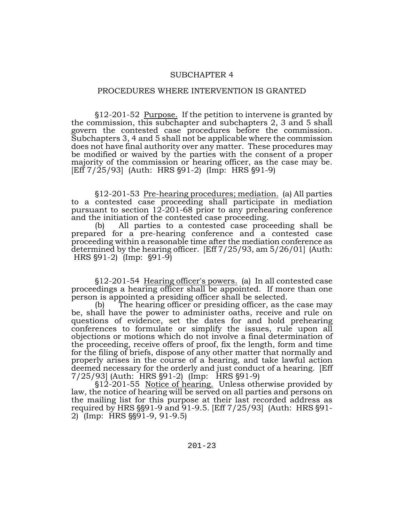#### SUBCHAPTER 4

#### PROCEDURES WHERE INTERVENTION IS GRANTED

'12-201-52 Purpose. If the petition to intervene is granted by the commission, this subchapter and subchapters 2, 3 and 5 shall govern the contested case procedures before the commission. Subchapters 3, 4 and 5 shall not be applicable where the commission does not have final authority over any matter. These procedures may be modified or waived by the parties with the consent of a proper majority of the commission or hearing officer, as the case may be.  $[Eff 7/25/93]$  (Auth: HRS  $\S 91-2$ ) (Imp: HRS  $\S 91-9$ )

'12-201-53 Pre-hearing procedures; mediation. (a) All parties to a contested case proceeding shall participate in mediation pursuant to section 12-201-68 prior to any prehearing conference and the initiation of the contested case proceeding.

(b) All parties to a contested case proceeding shall be prepared for a pre-hearing conference and a contested case proceeding within a reasonable time after the mediation conference as determined by the hearing officer. [Eff 7/25/93, am 5/26/01] (Auth:  $HRS \$  \mathbb{391-2)  $[Imp: \$ \sepsilon 91-9)

'12-201-54 Hearing officer's powers. (a) In all contested case proceedings a hearing officer shall be appointed. If more than one person is appointed a presiding officer shall be selected.

(b) The hearing officer or presiding officer, as the case may be, shall have the power to administer oaths, receive and rule on questions of evidence, set the dates for and hold prehearing conferences to formulate or simplify the issues, rule upon all objections or motions which do not involve a final determination of the proceeding, receive offers of proof, fix the length, form and time for the filing of briefs, dispose of any other matter that normally and properly arises in the course of a hearing, and take lawful action deemed necessary for the orderly and just conduct of a hearing. [Eff 7/25/93] (Auth: HRS §91-2) (Imp: HRS §91-9)

\$12-201-55 Notice of hearing. Unless otherwise provided by law, the notice of hearing will be served on all parties and persons on the mailing list for this purpose at their last recorded address as required by HRS  $\S 91-9$  and 91-9.5. [Eff 7/25/93] (Auth: HRS  $\S 91-$ 2)  $\overline{I}$  (Imp: HRS  $\S$ §91-9, 91-9.5)

201-23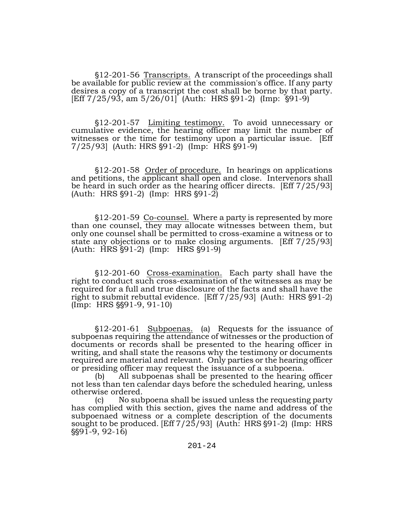§12-201-56 Transcripts. A transcript of the proceedings shall be available for public review at the commission's office. If any party desires a copy of a transcript the cost shall be borne by that party. [Eff  $7/25/93$ , am  $5/26/01$ ] (Auth: HRS  $\S91-2$ ) (Imp:  $\S91-9$ )

§12-201-57 Limiting testimony. To avoid unnecessary or cumulative evidence, the hearing officer may limit the number of witnesses or the time for testimony upon a particular issue. [Eff  $7/25/93$  (Auth: HRS  $\S91-2$ ) (Imp: HRS  $\S91-9$ )

§12-201-58 Order of procedure. In hearings on applications and petitions, the applicant shall open and close. Intervenors shall be heard in such order as the hearing officer directs. [Eff 7/25/93]  $(Auth: HRS \S 91-2)$  (Imp: HRS  $\S 91-2$ )

'12-201-59 Co-counsel. Where a party is represented by more than one counsel, they may allocate witnesses between them, but only one counsel shall be permitted to cross-examine a witness or to state any objections or to make closing arguments. [Eff 7/25/93]  $(Auth: HRS §91-2)$  (Imp: HRS  $§91-9$ )

'12-201-60 Cross-examination. Each party shall have the right to conduct such cross-examination of the witnesses as may be required for a full and true disclosure of the facts and shall have the right to submit rebuttal evidence.  $[Eff 7/25/93]$  (Auth: HRS  $\S 91-2$ )  $(Imp: HRS \S 91-9, 91-10)$ 

'12-201-61 Subpoenas. (a) Requests for the issuance of subpoenas requiring the attendance of witnesses or the production of documents or records shall be presented to the hearing officer in writing, and shall state the reasons why the testimony or documents required are material and relevant. Only parties or the hearing officer or presiding officer may request the issuance of a subpoena.

(b) All subpoenas shall be presented to the hearing officer not less than ten calendar days before the scheduled hearing, unless otherwise ordered.

(c) No subpoena shall be issued unless the requesting party has complied with this section, gives the name and address of the subpoenaed witness or a complete description of the documents sought to be produced.  $[Eff 7/25/93]$  (Auth: HRS  $\S91-2$ ) (Imp: HRS  $\S 91-9, 92-16$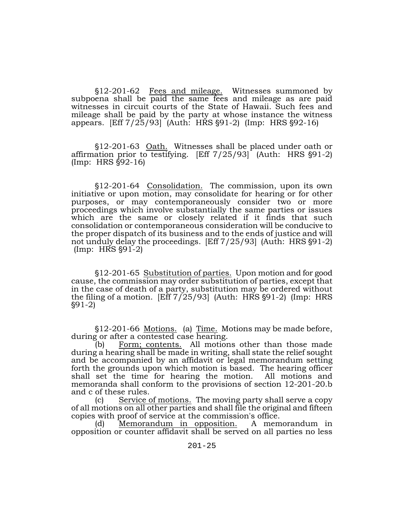§12-201-62 Fees and mileage. Witnesses summoned by subpoena shall be paid the same fees and mileage as are paid witnesses in circuit courts of the State of Hawaii. Such fees and mileage shall be paid by the party at whose instance the witness appears. [Eff 7/25/93] (Auth: HRS §91-2) (Imp: HRS §92-16)

'12-201-63 Oath. Witnesses shall be placed under oath or affirmation prior to testifying.  $[Eff 7/25/93]$  (Auth: HRS  $\S 91-2$ )  $(Imp: HRS \$   $§92-16)$ 

'12-201-64 Consolidation. The commission, upon its own initiative or upon motion, may consolidate for hearing or for other purposes, or may contemporaneously consider two or more proceedings which involve substantially the same parties or issues which are the same or closely related if it finds that such consolidation or contemporaneous consideration will be conducive to the proper dispatch of its business and to the ends of justice and will not unduly delay the proceedings.  $[Eff 7/25/93]$  (Auth: HRS  $\S 91-2$ )  $(Imp: HRS §91-2)$ 

'12-201-65 Substitution of parties. Upon motion and for good cause, the commission may order substitution of parties, except that in the case of death of a party, substitution may be ordered without the filing of a motion.  $[Eff 7/25/93]$  (Auth: HRS  $\S 91-2$ ) (Imp: HRS '91-2)

§12-201-66 Motions. (a) Time. Motions may be made before, during or after a contested case hearing.<br>(b) Form; contents. All motior

Form; contents. All motions other than those made during a hearing shall be made in writing, shall state the relief sought and be accompanied by an affidavit or legal memorandum setting forth the grounds upon which motion is based. The hearing officer shall set the time for hearing the motion. All motions and memoranda shall conform to the provisions of section 12-201-20.b and c of these rules.

Service of motions. The moving party shall serve a copy of all motions on all other parties and shall file the original and fifteen copies with proof of service at the commission's office.

(d) Memorandum in opposition. A memorandum in opposition or counter affidavit shall be served on all parties no less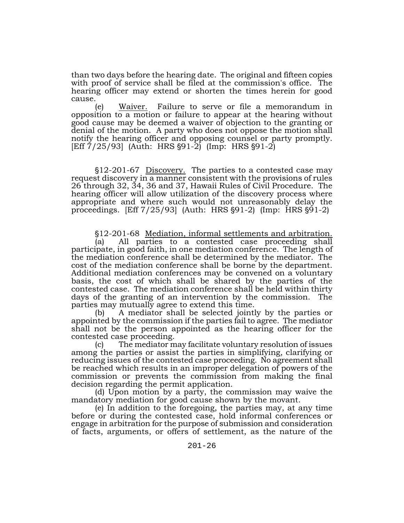than two days before the hearing date. The original and fifteen copies with proof of service shall be filed at the commission's office. The hearing officer may extend or shorten the times herein for good cause.

(e) Waiver. Failure to serve or file a memorandum in opposition to a motion or failure to appear at the hearing without good cause may be deemed a waiver of objection to the granting or denial of the motion. A party who does not oppose the motion shall notify the hearing officer and opposing counsel or party promptly.  $[Eff 7/25/93]$  (Auth: HRS  $\S 91-2$ ) (Imp: HRS  $\S 91-2$ )

§12-201-67 Discovery. The parties to a contested case may request discovery in a manner consistent with the provisions of rules 26 through 32, 34, 36 and 37, Hawaii Rules of Civil Procedure. The hearing officer will allow utilization of the discovery process where appropriate and where such would not unreasonably delay the proceedings.  $[Eff 7/25/93]$  (Auth: HRS  $\S 91-2$ ) (Imp: HRS  $\S 91-2$ )

'12-201-68 Mediation, informal settlements and arbitration.

(a) All parties to a contested case proceeding shall participate, in good faith, in one mediation conference. The length of the mediation conference shall be determined by the mediator. The cost of the mediation conference shall be borne by the department. Additional mediation conferences may be convened on a voluntary basis, the cost of which shall be shared by the parties of the contested case. The mediation conference shall be held within thirty days of the granting of an intervention by the commission. The parties may mutually agree to extend this time.

(b) A mediator shall be selected jointly by the parties or appointed by the commission if the parties fail to agree. The mediator shall not be the person appointed as the hearing officer for the contested case proceeding.

(c) The mediator may facilitate voluntary resolution of issues among the parties or assist the parties in simplifying, clarifying or reducing issues of the contested case proceeding. No agreement shall be reached which results in an improper delegation of powers of the commission or prevents the commission from making the final decision regarding the permit application.

(d) Upon motion by a party, the commission may waive the mandatory mediation for good cause shown by the movant.

(e) In addition to the foregoing, the parties may, at any time before or during the contested case, hold informal conferences or engage in arbitration for the purpose of submission and consideration of facts, arguments, or offers of settlement, as the nature of the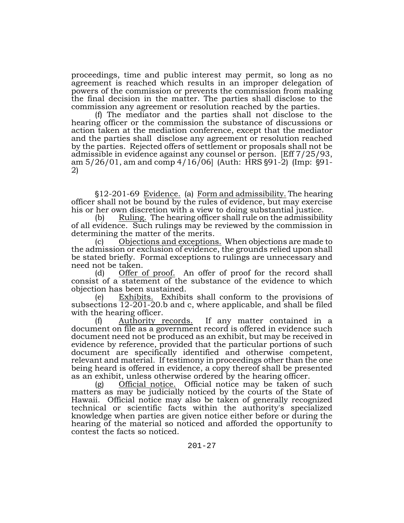proceedings, time and public interest may permit, so long as no agreement is reached which results in an improper delegation of powers of the commission or prevents the commission from making the final decision in the matter. The parties shall disclose to the commission any agreement or resolution reached by the parties.

(f) The mediator and the parties shall not disclose to the hearing officer or the commission the substance of discussions or action taken at the mediation conference, except that the mediator and the parties shall disclose any agreement or resolution reached by the parties. Rejected offers of settlement or proposals shall not be admissible in evidence against any counsel or person. [Eff 7/25/93, am 5/26/01, am and comp 4/16/06] (Auth: HRS §91-2) (Imp: §91-<br>2)

\$12-201-69 Evidence. (a) Form and admissibility. The hearing officer shall not be bound by the rules of evidence, but may exercise his or her own discretion with a view to doing substantial justice.

(b) Ruling. The hearing officer shall rule on the admissibility of all evidence. Such rulings may be reviewed by the commission in determining the matter of the merits.

(c) Objections and exceptions. When objections are made to the admission or exclusion of evidence, the grounds relied upon shall be stated briefly. Formal exceptions to rulings are unnecessary and need not be taken.

(d) Offer of proof. An offer of proof for the record shall consist of a statement of the substance of the evidence to which objection has been sustained.

(e) Exhibits. Exhibits shall conform to the provisions of subsections 12-201-20.b and c, where applicable, and shall be filed with the hearing officer.

(f) Authority records. If any matter contained in a document on file as a government record is offered in evidence such document need not be produced as an exhibit, but may be received in evidence by reference, provided that the particular portions of such document are specifically identified and otherwise competent, relevant and material. If testimony in proceedings other than the one being heard is offered in evidence, a copy thereof shall be presented as an exhibit, unless otherwise ordered by the hearing officer.

(g) Official notice. Official notice may be taken of such matters as may be judicially noticed by the courts of the State of Hawaii. Official notice may also be taken of generally recognized technical or scientific facts within the authority's specialized knowledge when parties are given notice either before or during the hearing of the material so noticed and afforded the opportunity to contest the facts so noticed.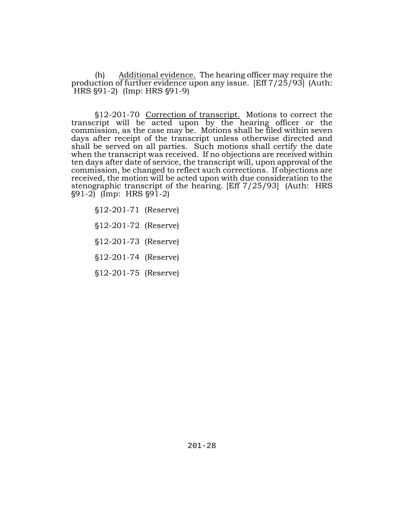(h) Additional evidence. The hearing officer may require the production of further evidence upon any issue. [Eff 7/25/93] (Auth:  $HRS \$   $91-2$ ) (Imp: HRS  $\$  $91-9$ )

§12-201-70 Correction of transcript. Motions to correct the transcript will be acted upon by the hearing officer or the commission, as the case may be. Motions shall be filed within seven days after receipt of the transcript unless otherwise directed and shall be served on all parties. Such motions shall certify the date when the transcript was received. If no objections are received within ten days after date of service, the transcript will, upon approval of the commission, be changed to reflect such corrections. If objections are received, the motion will be acted upon with due consideration to the stenographic transcript of the hearing. [Eff 7/25/93] (Auth: HRS  $\{91-2\}$  (Imp: HRS  $\{91-2\}$ )

§12-201-71 (Reserve)

\$12-201-72 (Reserve)

'12-201-73 (Reserve)

'12-201-74 (Reserve)

'12-201-75 (Reserve)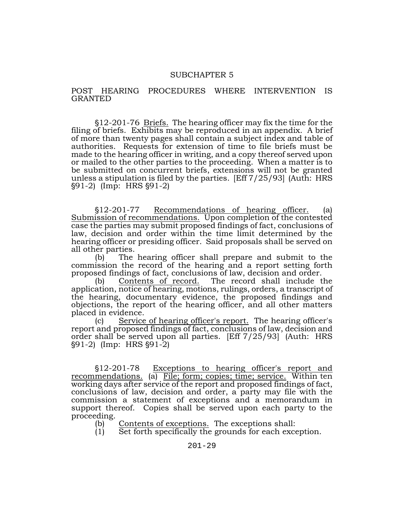#### SUBCHAPTER 5

#### POST HEARING PROCEDURES WHERE INTERVENTION IS GRANTED

'12-201-76 Briefs. The hearing officer may fix the time for the filing of briefs. Exhibits may be reproduced in an appendix. A brief of more than twenty pages shall contain a subject index and table of authorities. Requests for extension of time to file briefs must be made to the hearing officer in writing, and a copy thereof served upon or mailed to the other parties to the proceeding. When a matter is to be submitted on concurrent briefs, extensions will not be granted unless a stipulation is filed by the parties. [Eff 7/25/93] (Auth: HRS (14) S91-2) (Imp: HRS (91-2)

'12-201-77 Recommendations of hearing officer. (a) Submission of recommendations. Upon completion of the contested case the parties may submit proposed findings of fact, conclusions of law, decision and order within the time limit determined by the hearing officer or presiding officer. Said proposals shall be served on all other parties.

(b) The hearing officer shall prepare and submit to the commission the record of the hearing and a report setting forth

proposed findings of fact, conclusions of law, decision and order.<br>(b) Contents of record. The record shall include t (b) Contents of record. The record shall include the application, notice of hearing, motions, rulings, orders, a transcript of the hearing, documentary evidence, the proposed findings and objections, the report of the hearing officer, and all other matters placed in evidence.

(c) Service of hearing officer's report. The hearing officer's report and proposed findings of fact, conclusions of law, decision and order shall be served upon all parties. [Eff 7/25/93] (Auth: HRS  $\S91-2$ ) (Imp: HRS  $\S91-2$ )

'12-201-78 Exceptions to hearing officer's report and recommendations. (a) File; form; copies; time; service. Within ten working days after service of the report and proposed findings of fact, conclusions of law, decision and order, a party may file with the commission a statement of exceptions and a memorandum in support thereof. Copies shall be served upon each party to the proceeding.

- (b) Contents of exceptions. The exceptions shall:
- (1) Set forth specifically the grounds for each exception.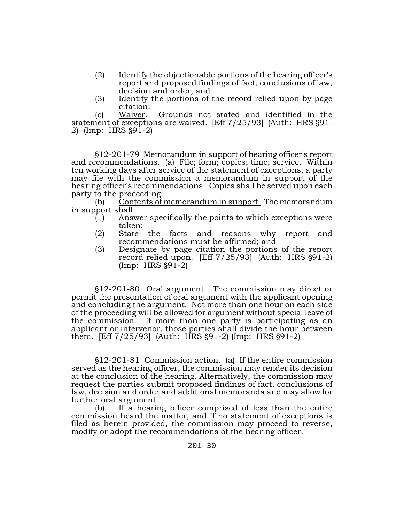- (2) Identify the objectionable portions of the hearing officer's report and proposed findings of fact, conclusions of law, decision and order; and
- (3) Identify the portions of the record relied upon by page citation.

(c) Waiver. Grounds not stated and identified in the statement of exceptions are waived. [Eff 7/25/93] (Auth: HRS §91-2) (Imp: HRS §91-2)

'12-201-79 Memorandum in support of hearing officer's report and recommendations. (a) File; form; copies; time; service. Within ten working days after service of the statement of exceptions, a party may file with the commission a memorandum in support of the hearing officer's recommendations. Copies shall be served upon each party to the proceeding.

(b) Contents of memorandum in support. The memorandum in support shall:

- $(1)$  Answer specifically the points to which exceptions were taken;
- (2) State the facts and reasons why report and recommendations must be affirmed; and
- (3) Designate by page citation the portions of the report record relied upon.  $[Eff 7/25/93]$  (Auth: HRS  $§91-2$ )  $(Imp: HRS §91-2)$

'12-201-80 Oral argument. The commission may direct or permit the presentation of oral argument with the applicant opening and concluding the argument. Not more than one hour on each side of the proceeding will be allowed for argument without special leave of the commission. If more than one party is participating as an applicant or intervenor, those parties shall divide the hour between them.  $[Eff 7/25/93]$  (Auth: HRS  $\S 91-2$ ) (Imp: HRS  $\S 91-2$ )

'12-201-81 Commission action. (a) If the entire commission served as the hearing officer, the commission may render its decision at the conclusion of the hearing. Alternatively, the commission may request the parties submit proposed findings of fact, conclusions of law, decision and order and additional memoranda and may allow for further oral argument.

(b) If a hearing officer comprised of less than the entire commission heard the matter, and if no statement of exceptions is filed as herein provided, the commission may proceed to reverse, modify or adopt the recommendations of the hearing officer.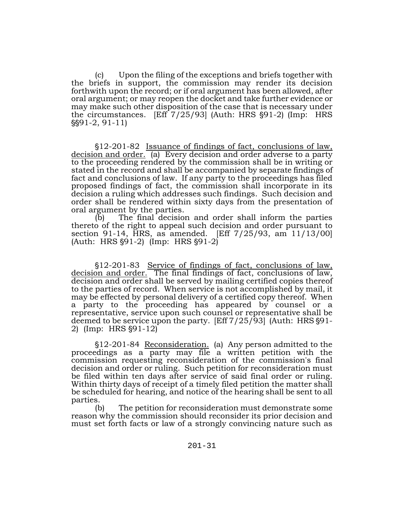(c) Upon the filing of the exceptions and briefs together with the briefs in support, the commission may render its decision forthwith upon the record; or if oral argument has been allowed, after oral argument; or may reopen the docket and take further evidence or may make such other disposition of the case that is necessary under the circumstances.  $[Eff 7/25/93]$  (Auth: HRS  $\S91-2$ ) (Imp: HRS ''91-2, 91-11)

'12-201-82 Issuance of findings of fact, conclusions of law, decision and order. (a) Every decision and order adverse to a party to the proceeding rendered by the commission shall be in writing or stated in the record and shall be accompanied by separate findings of fact and conclusions of law. If any party to the proceedings has filed proposed findings of fact, the commission shall incorporate in its decision a ruling which addresses such findings. Such decision and order shall be rendered within sixty days from the presentation of oral argument by the parties.<br>(b) The final decision

The final decision and order shall inform the parties thereto of the right to appeal such decision and order pursuant to section 91-14, HRS, as amended. [Eff 7/25/93, am 11/13/00]  $(Auth: HRS §91-2)$  (Imp: HRS §91-2)

'12-201-83 Service of findings of fact, conclusions of law, decision and order. The final findings of fact, conclusions of law, decision and order shall be served by mailing certified copies thereof to the parties of record. When service is not accomplished by mail, it may be effected by personal delivery of a certified copy thereof. When a party to the proceeding has appeared by counsel or a representative, service upon such counsel or representative shall be deemed to be service upon the party. [Eff  $7/25/93$ ] (Auth: HRS  $\S91-2$ ) (Imp: HRS  $\S91-12$ )

'12-201-84 Reconsideration. (a) Any person admitted to the proceedings as a party may file a written petition with the commission requesting reconsideration of the commission's final decision and order or ruling. Such petition for reconsideration must be filed within ten days after service of said final order or ruling. Within thirty days of receipt of a timely filed petition the matter shall be scheduled for hearing, and notice of the hearing shall be sent to all parties.

(b) The petition for reconsideration must demonstrate some reason why the commission should reconsider its prior decision and must set forth facts or law of a strongly convincing nature such as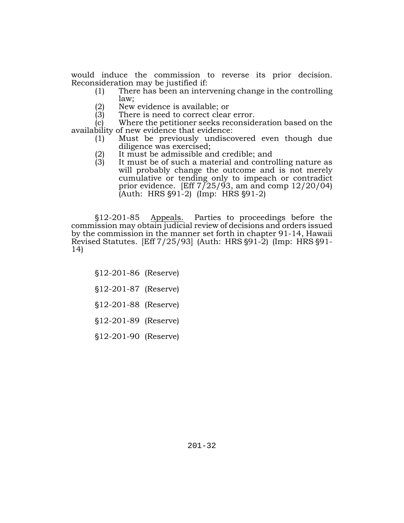would induce the commission to reverse its prior decision. Reconsideration may be justified if:<br>(1) There has been an inter

- There has been an intervening change in the controlling law;
- (2) New evidence is available; or
- There is need to correct clear error.

(c) Where the petitioner seeks reconsideration based on the availability of new evidence that evidence:

- (1) Must be previously undiscovered even though due diligence was exercised;
- (2) It must be admissible and credible; and<br>(3) It must be of such a material and contro
- It must be of such a material and controlling nature as will probably change the outcome and is not merely cumulative or tending only to impeach or contradict prior evidence. [Eff  $7/25/93$ , am and comp  $12/20/04$ ]  $[Author: HRS §91-2]$  (Imp: HRS §91-2)

'12-201-85 Appeals. Parties to proceedings before the commission may obtain judicial review of decisions and orders issued by the commission in the manner set forth in chapter 91-14, Hawaii Revised Statutes. [Eff 7/25/93] (Auth: HRS §91-2) (Imp: HRS §91-<br>14)

'12-201-86 (Reserve)

- '12-201-87 (Reserve)
- '12-201-88 (Reserve)
- '12-201-89 (Reserve)

'12-201-90 (Reserve)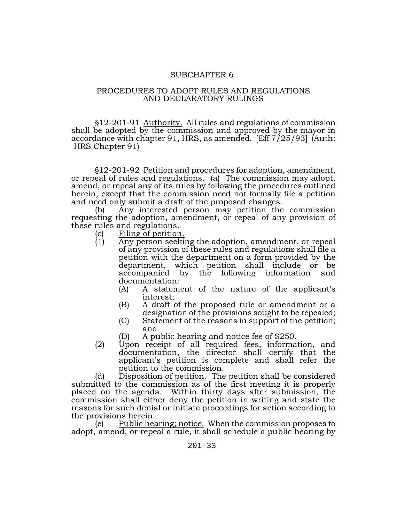### SUBCHAPTER 6

## PROCEDURES TO ADOPT RULES AND REGULATIONS AND DECLARATORY RULINGS

'12-201-91 Authority. All rules and regulations of commission shall be adopted by the commission and approved by the mayor in accordance with chapter 91, HRS, as amended. [Eff 7/25/93] (Auth: HRS Chapter 91)

'12-201-92 Petition and procedures for adoption, amendment, or repeal of rules and regulations. (a) The commission may adopt, amend, or repeal any of its rules by following the procedures outlined herein, except that the commission need not formally file a petition and need only submit a draft of the proposed changes.

(b) Any interested person may petition the commission requesting the adoption, amendment, or repeal of any provision of these rules and regulations.

- (c) Filing of petition.<br>(1) Any person seeking
- Any person seeking the adoption, amendment, or repeal of any provision of these rules and regulations shall file a petition with the department on a form provided by the department, which petition shall include or be accompanied by the following information and documentation:
	- (A) A statement of the nature of the applicant's interest;
	- (B) A draft of the proposed rule or amendment or a designation of the provisions sought to be repealed;
	- (C) Statement of the reasons in support of the petition; and
	- (D) A public hearing and notice fee of \$250.
- (2) Upon receipt of all required fees, information, and documentation, the director shall certify that the applicant's petition is complete and shall refer the petition to the commission.

(d) Disposition of petition. The petition shall be considered submitted to the commission as of the first meeting it is properly placed on the agenda. Within thirty days after submission, the commission shall either deny the petition in writing and state the reasons for such denial or initiate proceedings for action according to the provisions herein.

(e) Public hearing; notice. When the commission proposes to adopt, amend, or repeal a rule, it shall schedule a public hearing by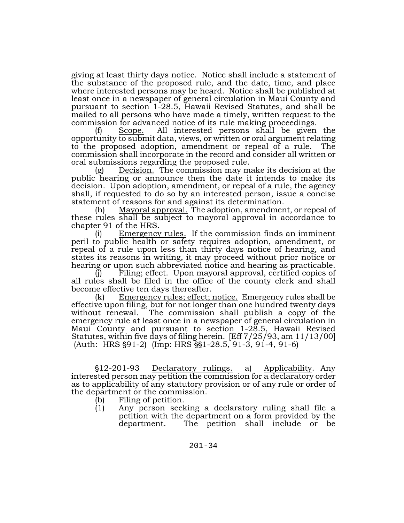giving at least thirty days notice. Notice shall include a statement of the substance of the proposed rule, and the date, time, and place where interested persons may be heard. Notice shall be published at least once in a newspaper of general circulation in Maui County and pursuant to section 1-28.5, Hawaii Revised Statutes, and shall be mailed to all persons who have made a timely, written request to the commission for advanced notice of its rule making proceedings.

(f) Scope. All interested persons shall be given the opportunity to submit data, views, or written or oral argument relating to the proposed adoption, amendment or repeal of a rule. The commission shall incorporate in the record and consider all written or oral submissions regarding the proposed rule.

(g) Decision. The commission may make its decision at the public hearing or announce then the date it intends to make its decision. Upon adoption, amendment, or repeal of a rule, the agency shall, if requested to do so by an interested person, issue a concise statement of reasons for and against its determination.

(h) Mayoral approval. The adoption, amendment, or repeal of these rules shall be subject to mayoral approval in accordance to chapter 91 of the HRS.

Emergency rules. If the commission finds an imminent peril to public health or safety requires adoption, amendment, or repeal of a rule upon less than thirty days notice of hearing, and states its reasons in writing, it may proceed without prior notice or hearing or upon such abbreviated notice and hearing as practicable.

Filing; effect. Upon mayoral approval, certified copies of all rules shall be filed in the office of the county clerk and shall become effective ten days thereafter.

(k) Emergency rules; effect; notice. Emergency rules shall be effective upon filing, but for not longer than one hundred twenty days without renewal. The commission shall publish a copy of the emergency rule at least once in a newspaper of general circulation in Maui County and pursuant to section 1-28.5, Hawaii Revised Statutes, within five days of filing herein. [Eff 7/25/93, am 11/13/00] (Auth: HRS  $\S91-2$ ) (Imp: HRS  $\S91-28.5$ , 91-3, 91-4, 91-6)

'12-201-93 Declaratory rulings. a) Applicability. Any interested person may petition the commission for a declaratory order as to applicability of any statutory provision or of any rule or order of the department or the commission.

- (b) Filing of petition.
- (1) Any person seeking a declaratory ruling shall file a petition with the department on a form provided by the department. The petition shall include or be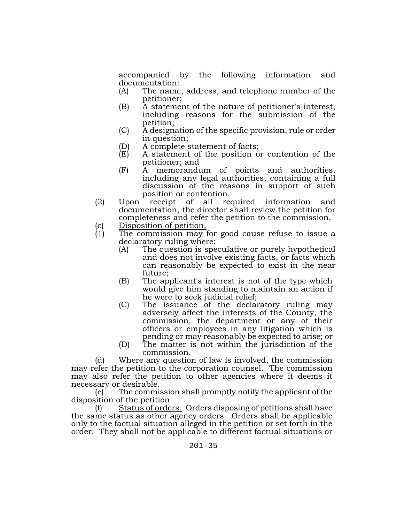accompanied by the following information and documentation:

- (A) The name, address, and telephone number of the petitioner;
- (B) A statement of the nature of petitioner's interest, including reasons for the submission of the petition;
- (C) A designation of the specific provision, rule or order in question;
- (D) A complete statement of facts;
- (E) A statement of the position or contention of the petitioner; and
- (F) A memorandum of points and authorities, including any legal authorities, containing a full discussion of the reasons in support of such position or contention.
- (2) Upon receipt of all required information and documentation, the director shall review the petition for completeness and refer the petition to the commission.
- (c) Disposition of petition.<br>(1) The commission may
- The commission may for good cause refuse to issue a declaratory ruling where:
	- (A) The question is speculative or purely hypothetical and does not involve existing facts, or facts which can reasonably be expected to exist in the near future;
	- (B) The applicant's interest is not of the type which would give him standing to maintain an action if he were to seek judicial relief;
	- (C) The issuance of the declaratory ruling may adversely affect the interests of the County, the commission, the department or any of their officers or employees in any litigation which is pending or may reasonably be expected to arise; or
	- (D) The matter is not within the jurisdiction of the commission.

(d) Where any question of law is involved, the commission may refer the petition to the corporation counsel. The commission may also refer the petition to other agencies where it deems it necessary or desirable.

(e) The commission shall promptly notify the applicant of the disposition of the petition.

(f) Status of orders. Orders disposing of petitions shall have the same status as other agency orders. Orders shall be applicable only to the factual situation alleged in the petition or set forth in the order. They shall not be applicable to different factual situations or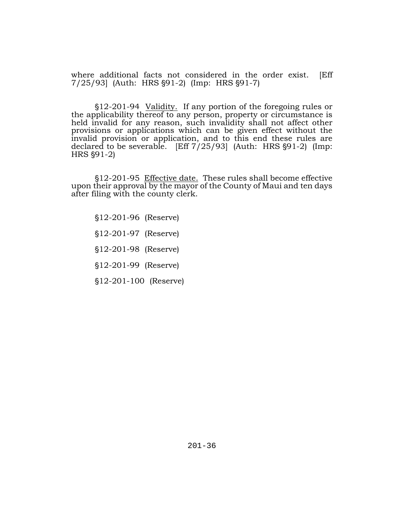where additional facts not considered in the order exist. [Eff 7/25/93 (Auth: HRS §91-2) (Imp: HRS §91-7)

'12-201-94 Validity. If any portion of the foregoing rules or the applicability thereof to any person, property or circumstance is held invalid for any reason, such invalidity shall not affect other provisions or applications which can be given effect without the invalid provision or application, and to this end these rules are declared to be severable.  $[Eff 7/25/93]$  (Auth: HRS  $§91-2)$  (Imp:  $HRS$   $$91-2$ )

'12-201-95 Effective date. These rules shall become effective upon their approval by the mayor of the County of Maui and ten days after filing with the county clerk.

- '12-201-96 (Reserve)
- §12-201-97 (Reserve)

'12-201-98 (Reserve)

'12-201-99 (Reserve)

'12-201-100 (Reserve)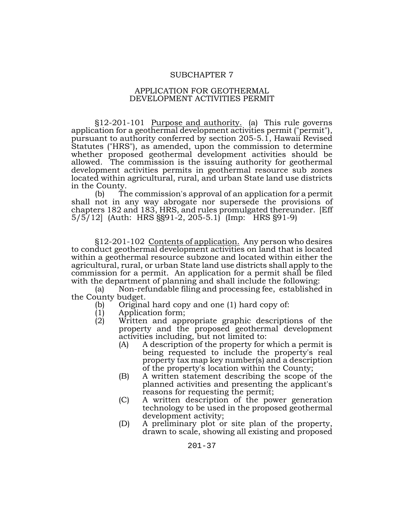#### SUBCHAPTER 7

#### APPLICATION FOR GEOTHERMAL DEVELOPMENT ACTIVITIES PERMIT

§12-201-101 Purpose and authority. (a) This rule governs application for a geothermal development activities permit ("permit"), pursuant to authority conferred by section 205-5.1, Hawaii Revised Statutes ("HRS"), as amended, upon the commission to determine whether proposed geothermal development activities should be allowed. The commission is the issuing authority for geothermal development activities permits in geothermal resource sub zones located within agricultural, rural, and urban State land use districts in the County.

(b) The commission's approval of an application for a permit shall not in any way abrogate nor supersede the provisions of chapters 182 and 183, HRS, and rules promulgated thereunder. [Eff 5/5/12] (Auth: HRS §§91-2, 205-5.1) (Imp: HRS §91-9)

§12-201-102 Contents of application. Any person who desires to conduct geothermal development activities on land that is located within a geothermal resource subzone and located within either the agricultural, rural, or urban State land use districts shall apply to the commission for a permit. An application for a permit shall be filed with the department of planning and shall include the following:

(a) Non-refundable filing and processing fee, established in the County budget.<br>(b) Origina

- (b) Original hard copy and one (1) hard copy of:<br>(1) Application form;
- (1) Application form;
	- Written and appropriate graphic descriptions of the property and the proposed geothermal development activities including, but not limited to:
		- (A) A description of the property for which a permit is being requested to include the property's real property tax map key number(s) and a description of the property's location within the County;
		- (B) A written statement describing the scope of the planned activities and presenting the applicant's reasons for requesting the permit;
		- (C) A written description of the power generation technology to be used in the proposed geothermal development activity;
		- (D) A preliminary plot or site plan of the property, drawn to scale, showing all existing and proposed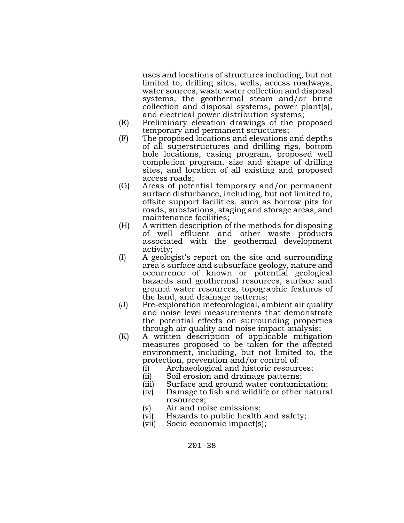uses and locations of structures including, but not limited to, drilling sites, wells, access roadways, water sources, waste water collection and disposal systems, the geothermal steam and/or brine collection and disposal systems, power plant(s), and electrical power distribution systems;

- (E) Preliminary elevation drawings of the proposed temporary and permanent structures;
- (F) The proposed locations and elevations and depths of all superstructures and drilling rigs, bottom hole locations, casing program, proposed well completion program, size and shape of drilling sites, and location of all existing and proposed access roads;
- (G) Areas of potential temporary and/or permanent surface disturbance, including, but not limited to, offsite support facilities, such as borrow pits for roads, substations, staging and storage areas, and maintenance facilities;
- (H) A written description of the methods for disposing of well effluent and other waste products associated with the geothermal development activity;
- (I) A geologist's report on the site and surrounding area's surface and subsurface geology, nature and occurrence of known or potential geological hazards and geothermal resources, surface and ground water resources, topographic features of the land, and drainage patterns;
- (J) Pre-exploration meteorological, ambient air quality and noise level measurements that demonstrate the potential effects on surrounding properties through air quality and noise impact analysis;
- (K) A written description of applicable mitigation measures proposed to be taken for the affected environment, including, but not limited to, the protection, prevention and/or control of:
	- (i) Archaeological and historic resources;
	- (ii) Soil erosion and drainage patterns;
	- (iii) Surface and ground water contamination;
	- (iv) Damage to fish and wildlife or other natural resources;
	- (v) Air and noise emissions;
	- (vi) Hazards to public health and safety;
	- (vii) Socio-economic impact(s);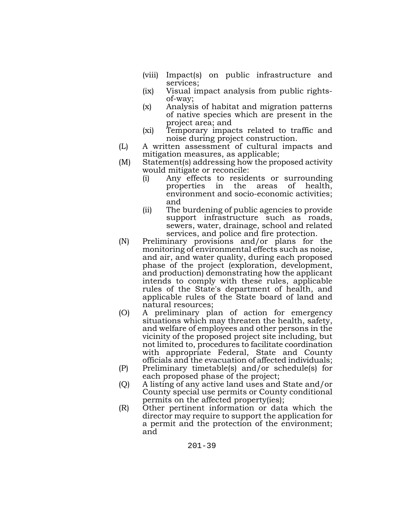- (viii) Impact(s) on public infrastructure and services;
- (ix) Visual impact analysis from public rights- of-way;
- (x) Analysis of habitat and migration patterns of native species which are present in the project area; and
- (xi) Temporary impacts related to traffic and noise during project construction.
- (L) A written assessment of cultural impacts and mitigation measures, as applicable;
- (M) Statement(s) addressing how the proposed activity would mitigate or reconcile:
	- (i) Any effects to residents or surrounding properties in the areas of health, environment and socio-economic activities; and
	- (ii) The burdening of public agencies to provide support infrastructure such as roads, sewers, water, drainage, school and related services, and police and fire protection.
- (N) Preliminary provisions and/or plans for the monitoring of environmental effects such as noise, and air, and water quality, during each proposed phase of the project (exploration, development, and production) demonstrating how the applicant intends to comply with these rules, applicable rules of the State's department of health, and applicable rules of the State board of land and natural resources;
- (O) A preliminary plan of action for emergency situations which may threaten the health, safety, and welfare of employees and other persons in the vicinity of the proposed project site including, but not limited to, procedures to facilitate coordination with appropriate Federal, State and County officials and the evacuation of affected individuals;
- (P) Preliminary timetable(s) and/or schedule(s) for each proposed phase of the project;
- (Q) A listing of any active land uses and State and/or County special use permits or County conditional permits on the affected property(ies);
- (R) Other pertinent information or data which the director may require to support the application for a permit and the protection of the environment; and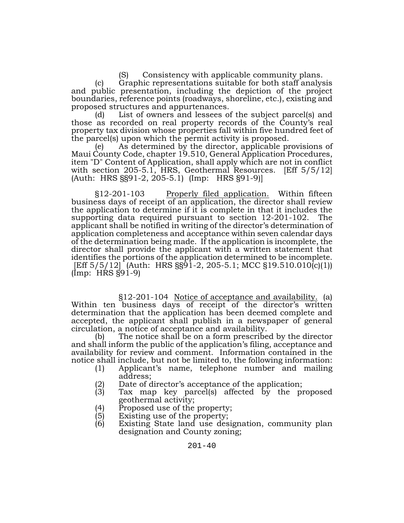(S) Consistency with applicable community plans.

(c) Graphic representations suitable for both staff analysis and public presentation, including the depiction of the project boundaries, reference points (roadways, shoreline, etc.), existing and proposed structures and appurtenances.

(d) List of owners and lessees of the subject parcel(s) and those as recorded on real property records of the County's real property tax division whose properties fall within five hundred feet of the parcel(s) upon which the permit activity is proposed.

(e) As determined by the director, applicable provisions of Maui County Code, chapter 19.510, General Application Procedures, item "D" Content of Application, shall apply which are not in conflict with section 205-5.1, HRS, Geothermal Resources. [Eff 5/5/12] (Auth: HRS §§91-2, 205-5.1) (Imp: HRS §91-9)]

§12-201-103 Properly filed application. Within fifteen business days of receipt of an application, the director shall review the application to determine if it is complete in that it includes the supporting data required pursuant to section 12-201-102. The applicant shall be notified in writing of the director's determination of application completeness and acceptance within seven calendar days of the determination being made. If the application is incomplete, the director shall provide the applicant with a written statement that identifies the portions of the application determined to be incomplete. [Eff 5/5/12] (Auth: HRS §§91-2, 205-5.1; MCC §19.510.010(c)(1))  $($ Imp: HRS  $§91-9)$ 

§12-201-104 Notice of acceptance and availability. (a) Within ten business days of receipt of the director's written determination that the application has been deemed complete and accepted, the applicant shall publish in a newspaper of general circulation, a notice of acceptance and availability.

(b) The notice shall be on a form prescribed by the director and shall inform the public of the application's filing, acceptance and availability for review and comment. Information contained in the notice shall include, but not be limited to, the following information:

- (1) Applicant's name, telephone number and mailing address;
- (2) Date of director's acceptance of the application;<br>(3)  $\Gamma$  Tax map key parcel(s) affected by the pi
- (3) Tax map key parcel(s) affected by the proposed geothermal activity;
- (4) Proposed use of the property;
- (5) Existing use of the property;
- (6) Existing State land use designation, community plan designation and County zoning;

201-40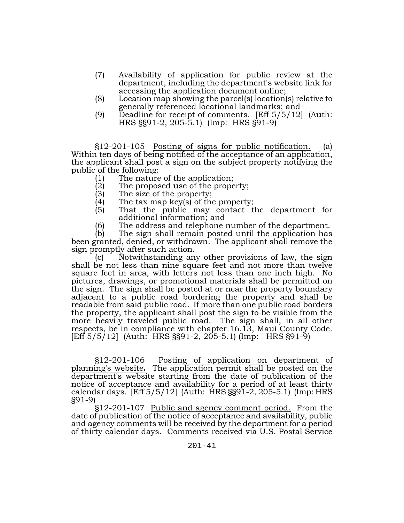- (7) Availability of application for public review at the department, including the department's website link for accessing the application document online;
- (8) Location map showing the parcel(s) location(s) relative to generally referenced locational landmarks; and
- (9) Deadline for receipt of comments. [Eff 5/5/12] (Auth: HRS §§91-2, 205-5.1) (Imp: HRS §91-9)

§12-201-105 Posting of signs for public notification. (a) Within ten days of being notified of the acceptance of an application, the applicant shall post a sign on the subject property notifying the public of the following:

- (1) The nature of the application;
- (2) The proposed use of the property;<br>(3) The size of the property;
- (3) The size of the property;<br>(4) The tax map key(s) of th
- (4) The tax map key(s) of the property;<br>(5) That the public may contact t
- That the public may contact the department for additional information; and
- (6) The address and telephone number of the department.<br>(b) The sign shall remain posted until the application has

The sign shall remain posted until the application has been granted, denied, or withdrawn. The applicant shall remove the sign promptly after such action.

(c) Notwithstanding any other provisions of law, the sign shall be not less than nine square feet and not more than twelve square feet in area, with letters not less than one inch high. No pictures, drawings, or promotional materials shall be permitted on the sign. The sign shall be posted at or near the property boundary adjacent to a public road bordering the property and shall be readable from said public road. If more than one public road borders the property, the applicant shall post the sign to be visible from the more heavily traveled public road. The sign shall, in all other respects, be in compliance with chapter 16.13, Maui County Code. [Eff 5/5/12] (Auth: HRS §§91-2, 205-5.1) (Imp: HRS §91-9)

§12-201-106 Posting of application on department of planning's website**.** The application permit shall be posted on the department's website starting from the date of publication of the notice of acceptance and availability for a period of at least thirty calendar days. [Eff 5/5/12] (Auth: HRS §§91-2, 205-5.1) (Imp: HRS §91-9)

§12-201-107 Public and agency comment period. From the date of publication of the notice of acceptance and availability, public and agency comments will be received by the department for a period of thirty calendar days. Comments received via U.S. Postal Service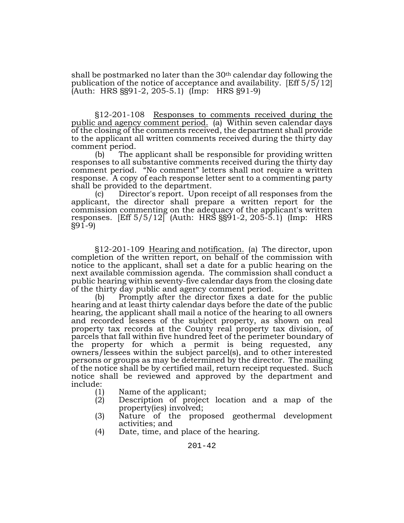shall be postmarked no later than the  $30<sup>th</sup>$  calendar day following the publication of the notice of acceptance and availability. [Eff 5/5/12] (Auth: HRS §§91-2, 205-5.1) (Imp: HRS §91-9)

§12-201-108 Responses to comments received during the public and agency comment period. (a) Within seven calendar days of the closing of the comments received, the department shall provide to the applicant all written comments received during the thirty day comment period.

(b) The applicant shall be responsible for providing written responses to all substantive comments received during the thirty day comment period. "No comment" letters shall not require a written response. A copy of each response letter sent to a commenting party shall be provided to the department.

(c) Director's report. Upon receipt of all responses from the applicant, the director shall prepare a written report for the commission commenting on the adequacy of the applicant's written responses. [Eff 5/5/12] (Auth: HRS §§91-2, 205-5.1) (Imp: HRS  $§91-9$ 

§12-201-109 Hearing and notification. (a) The director, upon completion of the written report, on behalf of the commission with notice to the applicant, shall set a date for a public hearing on the next available commission agenda. The commission shall conduct a public hearing within seventy-five calendar days from the closing date of the thirty day public and agency comment period.

(b) Promptly after the director fixes a date for the public hearing and at least thirty calendar days before the date of the public hearing, the applicant shall mail a notice of the hearing to all owners and recorded lessees of the subject property, as shown on real property tax records at the County real property tax division, of parcels that fall within five hundred feet of the perimeter boundary of the property for which a permit is being requested, any owners/lessees within the subject parcel(s), and to other interested persons or groups as may be determined by the director. The mailing of the notice shall be by certified mail, return receipt requested. Such notice shall be reviewed and approved by the department and include:

- (1) Name of the applicant;<br>(2) Description of project
- Description of project location and a map of the property(ies) involved;
- (3) Nature of the proposed geothermal development activities; and
- (4) Date, time, and place of the hearing.

201-42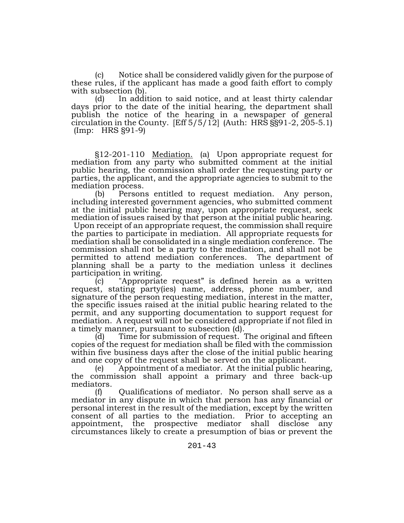(c) Notice shall be considered validly given for the purpose of these rules, if the applicant has made a good faith effort to comply with subsection (b).

(d) In addition to said notice, and at least thirty calendar days prior to the date of the initial hearing, the department shall publish the notice of the hearing in a newspaper of general circulation in the County.  $[Eff 5/5/12]$  (Auth: HRS  $\S$ §91-2, 205-5.1) (Imp: HRS §91-9)

§12-201-110 Mediation. (a) Upon appropriate request for mediation from any party who submitted comment at the initial public hearing, the commission shall order the requesting party or parties, the applicant, and the appropriate agencies to submit to the mediation process.

(b) Persons entitled to request mediation. Any person, including interested government agencies, who submitted comment at the initial public hearing may, upon appropriate request, seek mediation of issues raised by that person at the initial public hearing. Upon receipt of an appropriate request, the commission shall require the parties to participate in mediation. All appropriate requests for mediation shall be consolidated in a single mediation conference. The commission shall not be a party to the mediation, and shall not be permitted to attend mediation conferences. The department of planning shall be a party to the mediation unless it declines participation in writing.

(c) "Appropriate request" is defined herein as a written request, stating party(ies) name, address, phone number, and signature of the person requesting mediation, interest in the matter, the specific issues raised at the initial public hearing related to the permit, and any supporting documentation to support request for mediation. A request will not be considered appropriate if not filed in a timely manner, pursuant to subsection (d).

(d) Time for submission of request. The original and fifteen copies of the request for mediation shall be filed with the commission within five business days after the close of the initial public hearing and one copy of the request shall be served on the applicant.

(e) Appointment of a mediator. At the initial public hearing, the commission shall appoint a primary and three back-up mediators.

(f) Qualifications of mediator. No person shall serve as a mediator in any dispute in which that person has any financial or personal interest in the result of the mediation, except by the written consent of all parties to the mediation. Prior to accepting an appointment, the prospective mediator shall disclose any circumstances likely to create a presumption of bias or prevent the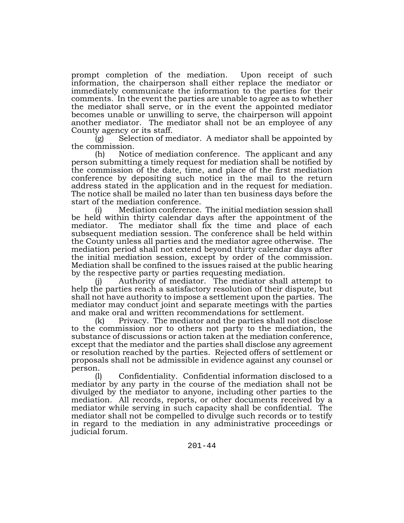prompt completion of the mediation. Upon receipt of such information, the chairperson shall either replace the mediator or immediately communicate the information to the parties for their comments. In the event the parties are unable to agree as to whether the mediator shall serve, or in the event the appointed mediator becomes unable or unwilling to serve, the chairperson will appoint another mediator. The mediator shall not be an employee of any County agency or its staff.

 $(g)$  Selection of mediator. A mediator shall be appointed by

the commission.<br>(h) Notice of mediation conference. The applicant and any person submitting a timely request for mediation shall be notified by the commission of the date, time, and place of the first mediation conference by depositing such notice in the mail to the return address stated in the application and in the request for mediation. The notice shall be mailed no later than ten business days before the start of the mediation conference.

Mediation conference. The initial mediation session shall be held within thirty calendar days after the appointment of the mediator. The mediator shall fix the time and place of each subsequent mediation session. The conference shall be held within the County unless all parties and the mediator agree otherwise. The mediation period shall not extend beyond thirty calendar days after the initial mediation session, except by order of the commission. Mediation shall be confined to the issues raised at the public hearing by the respective party or parties requesting mediation.

Authority of mediator. The mediator shall attempt to help the parties reach a satisfactory resolution of their dispute, but shall not have authority to impose a settlement upon the parties. The mediator may conduct joint and separate meetings with the parties and make oral and written recommendations for settlement.

(k) Privacy. The mediator and the parties shall not disclose to the commission nor to others not party to the mediation, the substance of discussions or action taken at the mediation conference, except that the mediator and the parties shall disclose any agreement or resolution reached by the parties. Rejected offers of settlement or proposals shall not be admissible in evidence against any counsel or person.

(l) Confidentiality. Confidential information disclosed to a mediator by any party in the course of the mediation shall not be divulged by the mediator to anyone, including other parties to the mediation. All records, reports, or other documents received by a mediator while serving in such capacity shall be confidential. The mediator shall not be compelled to divulge such records or to testify in regard to the mediation in any administrative proceedings or judicial forum.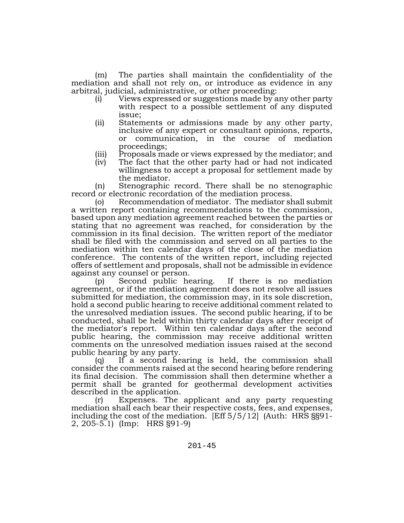(m) The parties shall maintain the confidentiality of the mediation and shall not rely on, or introduce as evidence in any arbitral, judicial, administrative, or other proceeding:

- (i) Views expressed or suggestions made by any other party with respect to a possible settlement of any disputed issue;
- (ii) Statements or admissions made by any other party, inclusive of any expert or consultant opinions, reports, or communication, in the course of mediation proceedings;
- (iii) Proposals made or views expressed by the mediator; and
- (iv) The fact that the other party had or had not indicated willingness to accept a proposal for settlement made by the mediator.

(n) Stenographic record. There shall be no stenographic record or electronic recordation of the mediation process.

(o) Recommendation of mediator. The mediator shall submit a written report containing recommendations to the commission, based upon any mediation agreement reached between the parties or stating that no agreement was reached, for consideration by the commission in its final decision. The written report of the mediator shall be filed with the commission and served on all parties to the mediation within ten calendar days of the close of the mediation conference. The contents of the written report, including rejected offers of settlement and proposals, shall not be admissible in evidence against any counsel or person.

(p) Second public hearing. If there is no mediation agreement, or if the mediation agreement does not resolve all issues submitted for mediation, the commission may, in its sole discretion, hold a second public hearing to receive additional comment related to the unresolved mediation issues. The second public hearing, if to be conducted, shall be held within thirty calendar days after receipt of the mediator's report. Within ten calendar days after the second public hearing, the commission may receive additional written comments on the unresolved mediation issues raised at the second public hearing by any party.

(q) If a second hearing is held, the commission shall consider the comments raised at the second hearing before rendering its final decision. The commission shall then determine whether a permit shall be granted for geothermal development activities described in the application.

Expenses. The applicant and any party requesting mediation shall each bear their respective costs, fees, and expenses, including the cost of the mediation. [Eff 5/5/12] (Auth: HRS §§91-2, 205-5.1) (Imp: HRS §91-9)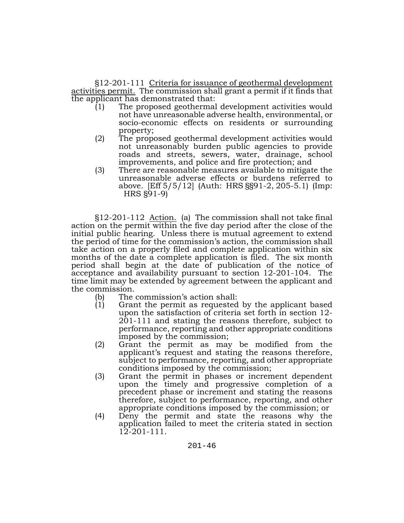§12-201-111 Criteria for issuance of geothermal development activities permit. The commission shall grant a permit if it finds that the applicant has demonstrated that:

- (1) The proposed geothermal development activities would not have unreasonable adverse health, environmental, or socio-economic effects on residents or surrounding property;
- (2) The proposed geothermal development activities would not unreasonably burden public agencies to provide roads and streets, sewers, water, drainage, school improvements, and police and fire protection; and
- (3) There are reasonable measures available to mitigate the unreasonable adverse effects or burdens referred to above. [Eff 5/5/12] (Auth: HRS §§91-2, 205-5.1) (Imp: HRS §91-9)

§12-201-112 Action. (a) The commission shall not take final action on the permit within the five day period after the close of the initial public hearing. Unless there is mutual agreement to extend the period of time for the commission's action, the commission shall take action on a properly filed and complete application within six months of the date a complete application is filed. The six month period shall begin at the date of publication of the notice of acceptance and availability pursuant to section 12-201-104. The time limit may be extended by agreement between the applicant and

- the commission.<br>
(b) The commission's action shall:<br>
(1) Grant the permit as requested
	- Grant the permit as requested by the applicant based<br>upon the satisfaction of criteria set forth in section 12- $201-111$  and stating the reasons therefore, subject to performance, reporting and other appropriate conditions imposed by the commission;
	- (2) Grant the permit as may be modified from the applicant's request and stating the reasons therefore, subject to performance, reporting, and other appropriate conditions imposed by the commission;
	- (3) Grant the permit in phases or increment dependent upon the timely and progressive completion of a precedent phase or increment and stating the reasons therefore, subject to performance, reporting, and other appropriate conditions imposed by the commission; or
	- (4) Deny the permit and state the reasons why the application failed to meet the criteria stated in section 12-201-111.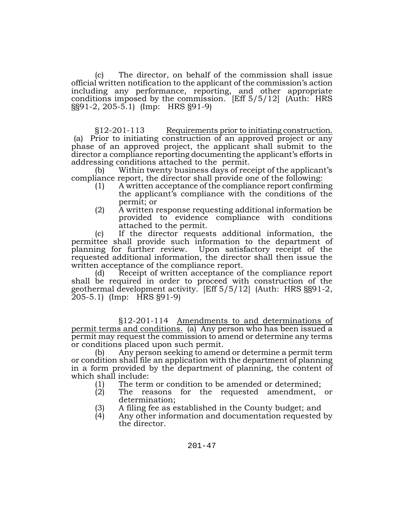(c) The director, on behalf of the commission shall issue official written notification to the applicant of the commission's action including any performance, reporting, and other appropriate conditions imposed by the commission. [Eff 5/5/12] (Auth: HRS §§91-2, 205-5.1) (Imp: HRS §91-9)

§12-201-113 Requirements prior to initiating construction. (a) Prior to initiating construction of an approved project or any phase of an approved project, the applicant shall submit to the director a compliance reporting documenting the applicant's efforts in addressing conditions attached to the permit.

(b) Within twenty business days of receipt of the applicant's compliance report, the director shall provide one of the following:

- (1) A written acceptance of the compliance report confirming the applicant's compliance with the conditions of the permit; or
- (2) A written response requesting additional information be provided to evidence compliance with conditions attached to the permit.

(c) If the director requests additional information, the permittee shall provide such information to the department of planning for further review. Upon satisfactory receipt of the requested additional information, the director shall then issue the written acceptance of the compliance report.

(d) Receipt of written acceptance of the compliance report shall be required in order to proceed with construction of the geothermal development activity. [Eff 5/5/12] (Auth: HRS §§91-2, 205-5.1) (Imp: HRS §91-9)

§12-201-114 Amendments to and determinations of permit terms and conditions. (a) Any person who has been issued a permit may request the commission to amend or determine any terms or conditions placed upon such permit.

(b) Any person seeking to amend or determine a permit term or condition shall file an application with the department of planning in a form provided by the department of planning, the content of which shall include:

- (1) The term or condition to be amended or determined;<br>(2) The reasons for the requested amendment,
- The reasons for the requested amendment, or determination;
- (3) A filing fee as established in the County budget; and
- Any other information and documentation requested by the director.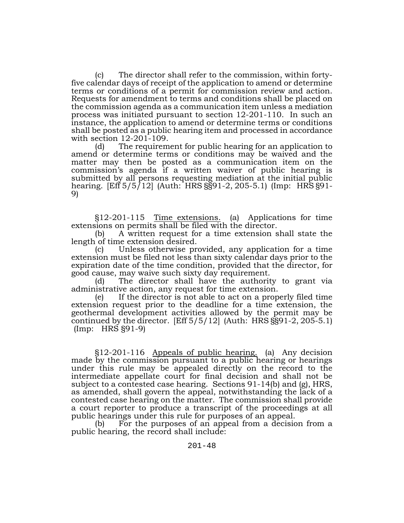(c) The director shall refer to the commission, within forty- five calendar days of receipt of the application to amend or determine terms or conditions of a permit for commission review and action. Requests for amendment to terms and conditions shall be placed on the commission agenda as a communication item unless a mediation process was initiated pursuant to section 12-201-110. In such an instance, the application to amend or determine terms or conditions shall be posted as a public hearing item and processed in accordance with section 12-201-109.

(d) The requirement for public hearing for an application to amend or determine terms or conditions may be waived and the matter may then be posted as a communication item on the commission's agenda if a written waiver of public hearing is submitted by all persons requesting mediation at the initial public hearing. [Eff 5/5/12] (Auth: HRS §§91-2, 205-5.1) (Imp: HRS §91-<br>9)

§12-201-115 Time extensions. (a) Applications for time extensions on permits shall be filed with the director.

(b) A written request for a time extension shall state the length of time extension desired.

(c) Unless otherwise provided, any application for a time extension must be filed not less than sixty calendar days prior to the expiration date of the time condition, provided that the director, for good cause, may waive such sixty day requirement.

(d) The director shall have the authority to grant via administrative action, any request for time extension.

(e) If the director is not able to act on a properly filed time extension request prior to the deadline for a time extension, the geothermal development activities allowed by the permit may be continued by the director.  $[Eff 5/5/12]$  (Auth: HRS  $\S 91-2$ , 205-5.1) (Imp: HRS §91-9)

§12-201-116 Appeals of public hearing. (a) Any decision made by the commission pursuant to a public hearing or hearings under this rule may be appealed directly on the record to the intermediate appellate court for final decision and shall not be subject to a contested case hearing. Sections 91-14(b) and (g), HRS, as amended, shall govern the appeal, notwithstanding the lack of a contested case hearing on the matter. The commission shall provide a court reporter to produce a transcript of the proceedings at all public hearings under this rule for purposes of an appeal.

(b) For the purposes of an appeal from a decision from a public hearing, the record shall include: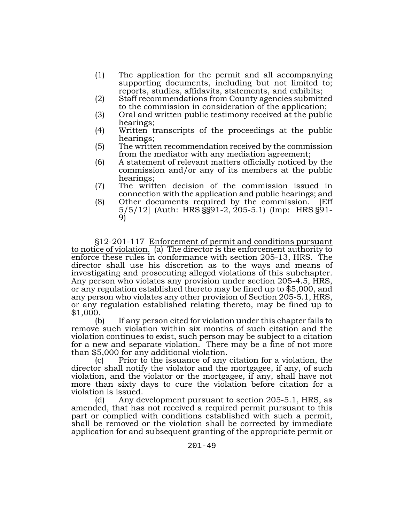- (1) The application for the permit and all accompanying supporting documents, including but not limited to; reports, studies, affidavits, statements, and exhibits;
- (2) Staff recommendations from County agencies submitted to the commission in consideration of the application;
- (3) Oral and written public testimony received at the public hearings;
- (4) Written transcripts of the proceedings at the public hearings;
- (5) The written recommendation received by the commission from the mediator with any mediation agreement;
- (6) A statement of relevant matters officially noticed by the commission and/or any of its members at the public hearings;
- (7) The written decision of the commission issued in connection with the application and public hearings; and
- (8) Other documents required by the commission. [Eff 5/5/12] (Auth: HRS §§91-2, 205-5.1) (Imp: HRS §91- 9)

§12-201-117 Enforcement of permit and conditions pursuant to notice of violation. (a) The director is the enforcement authority to enforce these rules in conformance with section 205-13, HRS. The director shall use his discretion as to the ways and means of investigating and prosecuting alleged violations of this subchapter. Any person who violates any provision under section 205-4.5, HRS, or any regulation established thereto may be fined up to \$5,000, and any person who violates any other provision of Section 205-5.1, HRS, or any regulation established relating thereto, may be fined up to \$1,000.

(b) If any person cited for violation under this chapter fails to remove such violation within six months of such citation and the violation continues to exist, such person may be subject to a citation for a new and separate violation. There may be a fine of not more than \$5,000 for any additional violation.

(c) Prior to the issuance of any citation for a violation, the director shall notify the violator and the mortgagee, if any, of such violation, and the violator or the mortgagee, if any, shall have not more than sixty days to cure the violation before citation for a violation is issued.

(d) Any development pursuant to section 205-5.1, HRS, as amended, that has not received a required permit pursuant to this part or complied with conditions established with such a permit, shall be removed or the violation shall be corrected by immediate application for and subsequent granting of the appropriate permit or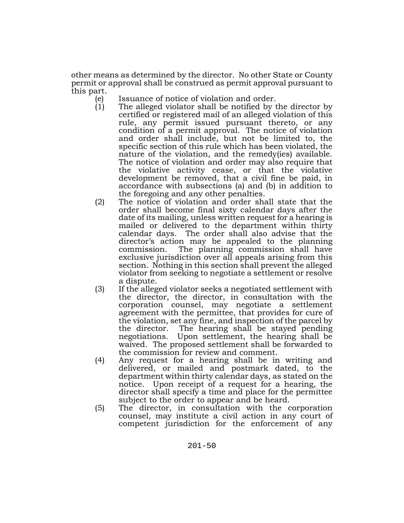other means as determined by the director. No other State or County permit or approval shall be construed as permit approval pursuant to this part.

- (e) Issuance of notice of violation and order.<br>(1) The alleged violator shall be notified by t
- The alleged violator shall be notified by the director by certified or registered mail of an alleged violation of this rule, any permit issued pursuant thereto, or any condition of a permit approval. The notice of violation and order shall include, but not be limited to, the specific section of this rule which has been violated, the nature of the violation, and the remedy(ies) available. The notice of violation and order may also require that the violative activity cease, or that the violative development be removed, that a civil fine be paid, in accordance with subsections (a) and (b) in addition to the foregoing and any other penalties.
- (2) The notice of violation and order shall state that the order shall become final sixty calendar days after the date of its mailing, unless written request for a hearing is mailed or delivered to the department within thirty calendar days. The order shall also advise that the director's action may be appealed to the planning commission. The planning commission shall have exclusive jurisdiction over all appeals arising from this section. Nothing in this section shall prevent the alleged violator from seeking to negotiate a settlement or resolve a dispute.
- (3) If the alleged violator seeks a negotiated settlement with the director, the director, in consultation with the corporation counsel, may negotiate a settlement agreement with the permittee, that provides for cure of the violation, set any fine, and inspection of the parcel by the director. The hearing shall be stayed pending negotiations. Upon settlement, the hearing shall be waived. The proposed settlement shall be forwarded to the commission for review and comment.
- (4) Any request for a hearing shall be in writing and delivered, or mailed and postmark dated, to the department within thirty calendar days, as stated on the notice. Upon receipt of a request for a hearing, the director shall specify a time and place for the permittee subject to the order to appear and be heard.
- (5) The director, in consultation with the corporation counsel, may institute a civil action in any court of competent jurisdiction for the enforcement of any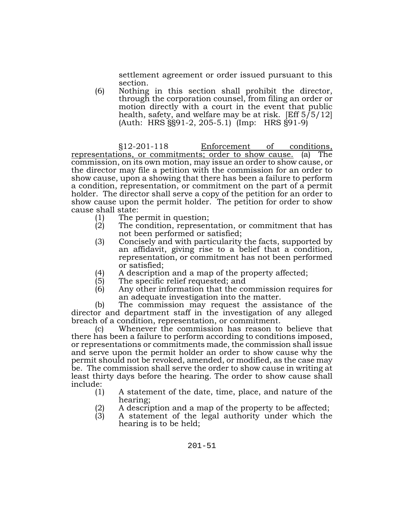settlement agreement or order issued pursuant to this

section.<br>Nothing in this section shall prohibit the director, (6) Nothing in this section shall prohibit the director, through the corporation counsel, from filing an order or motion directly with a court in the event that public health, safety, and welfare may be at risk. [Eff  $5/5/12$ ] (Auth: HRS §§91-2, 205-5.1) (Imp: HRS §91-9)

§12-201-118 Enforcement of conditions, representations, or commitments; order to show cause. (a) The commission, on its own motion, may issue an order to show cause, or the director may file a petition with the commission for an order to show cause, upon a showing that there has been a failure to perform a condition, representation, or commitment on the part of a permit holder. The director shall serve a copy of the petition for an order to show cause upon the permit holder. The petition for order to show cause shall state:

- (1) The permit in question;<br>(2) The condition, represen
- The condition, representation, or commitment that has not been performed or satisfied;
- (3) Concisely and with particularity the facts, supported by an affidavit, giving rise to a belief that a condition, representation, or commitment has not been performed or satisfied;
- (4) A description and a map of the property affected;<br>(5) The specific relief requested; and
- The specific relief requested; and
- (6) Any other information that the commission requires for an adequate investigation into the matter.

(b) The commission may request the assistance of the director and department staff in the investigation of any alleged breach of a condition, representation, or commitment.

(c) Whenever the commission has reason to believe that there has been a failure to perform according to conditions imposed, or representations or commitments made, the commission shall issue and serve upon the permit holder an order to show cause why the permit should not be revoked, amended, or modified, as the case may be. The commission shall serve the order to show cause in writing at least thirty days before the hearing. The order to show cause shall include:

- (1) A statement of the date, time, place, and nature of the hearing;
- (2) A description and a map of the property to be affected;<br>(3) A statement of the legal authority under which the
- A statement of the legal authority under which the hearing is to be held;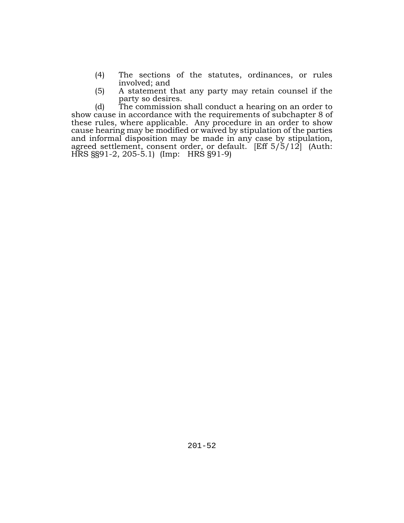- (4) The sections of the statutes, ordinances, or rules involved; and
- (5) A statement that any party may retain counsel if the party so desires.

(d) The commission shall conduct a hearing on an order to show cause in accordance with the requirements of subchapter 8 of these rules, where applicable. Any procedure in an order to show cause hearing may be modified or waived by stipulation of the parties and informal disposition may be made in any case by stipulation, agreed settlement, consent order, or default. [Eff 5/5/12] (Auth: HRS §§91-2, 205-5.1) (Imp: HRS §91-9)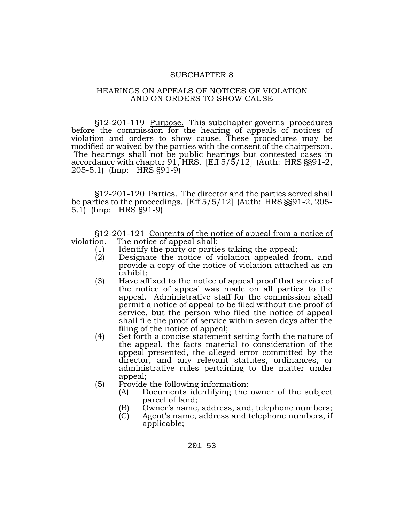#### SUBCHAPTER 8

#### HEARINGS ON APPEALS OF NOTICES OF VIOLATION AND ON ORDERS TO SHOW CAUSE

§12-201-119 Purpose. This subchapter governs procedures before the commission for the hearing of appeals of notices of violation and orders to show cause. These procedures may be modified or waived by the parties with the consent of the chairperson. The hearings shall not be public hearings but contested cases in accordance with chapter 91, HRS. [Eff 5/5/12] (Auth: HRS §§91-2, 205-5.1) (Imp: HRS §91-9)

§12-201-120 Parties. The director and the parties served shall be parties to the proceedings. [Eff 5/5/12] (Auth: HRS §§91-2, 205- 5.1) (Imp: HRS §91-9)

§12-201-121 <u>Contents of the notice of appeal from a notice of</u> violation. The notice of appeal shall: The notice of appeal shall:

- (1) Identify the party or parties taking the appeal;<br>(2) Designate the notice of violation appealed fr
- Designate the notice of violation appealed from, and provide a copy of the notice of violation attached as an exhibit;
- (3) Have affixed to the notice of appeal proof that service of the notice of appeal was made on all parties to the appeal. Administrative staff for the commission shall permit a notice of appeal to be filed without the proof of service, but the person who filed the notice of appeal shall file the proof of service within seven days after the filing of the notice of appeal;
- (4) Set forth a concise statement setting forth the nature of the appeal, the facts material to consideration of the appeal presented, the alleged error committed by the director, and any relevant statutes, ordinances, or administrative rules pertaining to the matter under appeal;
- (5) Provide the following information:
	- (A) Documents identifying the owner of the subject parcel of land;
	- (B) Owner's name, address, and, telephone numbers;
	- (C) Agent's name, address and telephone numbers, if applicable;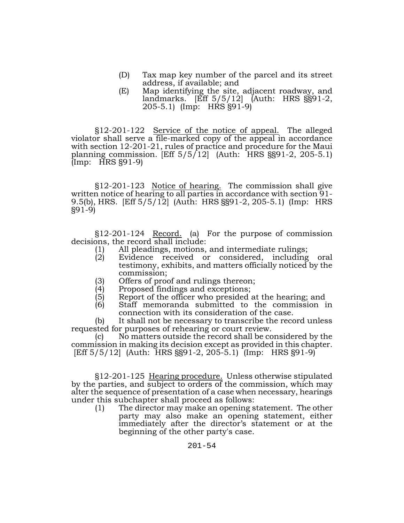- (D) Tax map key number of the parcel and its street address, if available; and
- (E) Map identifying the site, adjacent roadway, and landmarks. [Eff 5/5/12] (Auth: HRS §§91-2, 205-5.1) (Imp: HRS §91-9)

§12-201-122 Service of the notice of appeal. The alleged violator shall serve a file-marked copy of the appeal in accordance with section 12-201-21, rules of practice and procedure for the Maui planning commission.  $[Eff 5/5/12]$  (Auth: HRS  $\S 91-2$ , 205-5.1) (Imp: HRS §91-9)

§12-201-123 Notice of hearing. The commission shall give written notice of hearing to all parties in accordance with section 91-9.5(b), HRS.  $[Eff 5/5/12]$  (Auth: HRS §§91-2, 205-5.1) (Imp: HRS §91-9)

§12-201-124 Record. (a) For the purpose of commission decisions, the record shall include:

- (1) All pleadings, motions, and intermediate rulings;<br>(2) Evidence received or considered, including
- Evidence received or considered, including oral testimony, exhibits, and matters officially noticed by the commission;
- (3) Offers of proof and rulings thereon;<br>(4) Proposed findings and exceptions;
- 
- $(4)$  Proposed findings and exceptions;<br>(5) Report of the officer who presided a  $(5)$  Report of the officer who presided at the hearing; and  $(6)$  Staff memoranda submitted to the commission is
- Staff memoranda submitted to the commission in connection with its consideration of the case.

(b) It shall not be necessary to transcribe the record unless requested for purposes of rehearing or court review.

(c) No matters outside the record shall be considered by the commission in making its decision except as provided in this chapter. [Eff 5/5/12] (Auth: HRS §§91-2, 205-5.1) (Imp: HRS §91-9)

§12-201-125 Hearing procedure. Unless otherwise stipulated by the parties, and subject to orders of the commission, which may alter the sequence of presentation of a case when necessary, hearings under this subchapter shall proceed as follows:

(1) The director may make an opening statement. The other party may also make an opening statement, either immediately after the director's statement or at the beginning of the other party's case.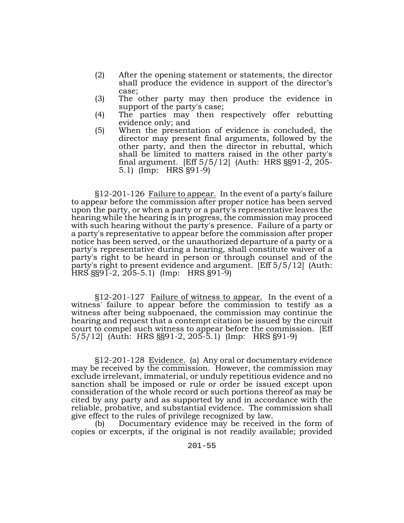- (2) After the opening statement or statements, the director shall produce the evidence in support of the director's case;
- (3) The other party may then produce the evidence in support of the party's case;
- (4) The parties may then respectively offer rebutting evidence only; and
- (5) When the presentation of evidence is concluded, the director may present final arguments, followed by the other party, and then the director in rebuttal, which shall be limited to matters raised in the other party's final argument. [Eff 5/5/12] (Auth: HRS §§91-2, 205- 5.1) (Imp: HRS §91-9)

§12-201-126 Failure to appear. In the event of a party's failure to appear before the commission after proper notice has been served upon the party, or when a party or a party's representative leaves the hearing while the hearing is in progress, the commission may proceed with such hearing without the party's presence. Failure of a party or a party's representative to appear before the commission after proper notice has been served, or the unauthorized departure of a party or a party's representative during a hearing, shall constitute waiver of a party's right to be heard in person or through counsel and of the party's right to present evidence and argument. [Eff 5/5/12] (Auth: HRS §§91-2, 205-5.1) (Imp: HRS §91-9)

§12-201-127 Failure of witness to appear. In the event of a witness' failure to appear before the commission to testify as a witness after being subpoenaed, the commission may continue the hearing and request that a contempt citation be issued by the circuit court to compel such witness to appear before the commission. [Eff 5/5/12] (Auth: HRS §§91-2, 205-5.1) (Imp: HRS §91-9)

§12-201-128 Evidence. (a) Any oral or documentary evidence may be received by the commission. However, the commission may exclude irrelevant, immaterial, or unduly repetitious evidence and no sanction shall be imposed or rule or order be issued except upon consideration of the whole record or such portions thereof as may be cited by any party and as supported by and in accordance with the reliable, probative, and substantial evidence. The commission shall give effect to the rules of privilege recognized by law.

(b) Documentary evidence may be received in the form of copies or excerpts, if the original is not readily available; provided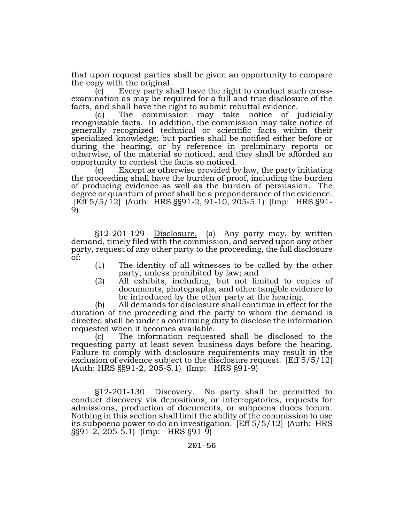that upon request parties shall be given an opportunity to compare the copy with the original.<br>(c) Every party shall have the right to conduct such cross-

(c) Every party shall have the right to conduct such cross- examination as may be required for a full and true disclosure of the facts, and shall have the right to submit rebuttal evidence.

(d) The commission may take notice of judicially recognizable facts. In addition, the commission may take notice of generally recognized technical or scientific facts within their specialized knowledge; but parties shall be notified either before or during the hearing, or by reference in preliminary reports or otherwise, of the material so noticed, and they shall be afforded an opportunity to contest the facts so noticed.

(e) Except as otherwise provided by law, the party initiating the proceeding shall have the burden of proof, including the burden of producing evidence as well as the burden of persuasion. The degree or quantum of proof shall be a preponderance of the evidence. [Eff 5/5/12] (Auth: HRS §§91-2, 91-10, 205-5.1) (Imp: HRS §91-<br>9)

§12-201-129 Disclosure. (a) Any party may, by written demand, timely filed with the commission, and served upon any other party, request of any other party to the proceeding, the full disclosure of:

- (1) The identity of all witnesses to be called by the other party, unless prohibited by law; and
- (2) All exhibits, including, but not limited to copies of documents, photographs, and other tangible evidence to be introduced by the other party at the hearing.

(b) All demands for disclosure shall continue in effect for the duration of the proceeding and the party to whom the demand is directed shall be under a continuing duty to disclose the information requested when it becomes available.

(c) The information requested shall be disclosed to the requesting party at least seven business days before the hearing. Failure to comply with disclosure requirements may result in the exclusion of evidence subject to the disclosure request. [Eff 5/5/12] (Auth: HRS §§91-2, 205-5.1) (Imp: HRS §91-9)

§12-201-130 Discovery. No party shall be permitted to conduct discovery via depositions, or interrogatories, requests for admissions, production of documents, or subpoena duces tecum. Nothing in this section shall limit the ability of the commission to use its subpoena power to do an investigation. [Eff 5/5/12] (Auth: HRS §§91-2, 205-5.1) (Imp: HRS §91-9)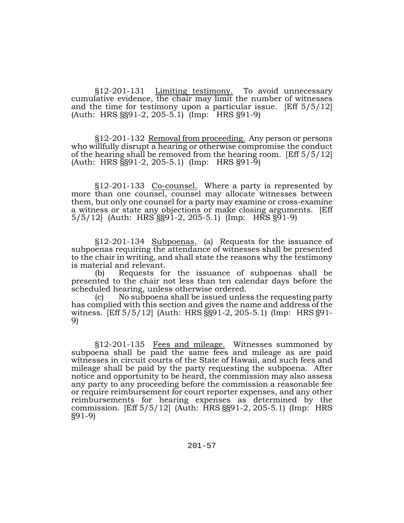§12-201-131 Limiting testimony. To avoid unnecessary cumulative evidence, the chair may limit the number of witnesses and the time for testimony upon a particular issue. [Eff 5/5/12] (Auth: HRS §§91-2, 205-5.1) (Imp: HRS §91-9)

§12-201-132 Removal from proceeding. Any person or persons who willfully disrupt a hearing or otherwise compromise the conduct of the hearing shall be removed from the hearing room. [Eff 5/5/12] (Auth: HRS §§91-2, 205-5.1) (Imp: HRS §91-9)

§12-201-133 Co-counsel. Where a party is represented by more than one counsel, counsel may allocate witnesses between them, but only one counsel for a party may examine or cross-examine a witness or state any objections or make closing arguments. [Eff 5/5/12] (Auth: HRS §§91-2, 205-5.1) (Imp: HRS §91-9)

§12-201-134 Subpoenas. (a) Requests for the issuance of subpoenas requiring the attendance of witnesses shall be presented to the chair in writing, and shall state the reasons why the testimony is material and relevant.

(b) Requests for the issuance of subpoenas shall be presented to the chair not less than ten calendar days before the scheduled hearing, unless otherwise ordered.

(c) No subpoena shall be issued unless the requesting party has complied with this section and gives the name and address of the witness. [Eff 5/5/12] (Auth: HRS §§91-2, 205-5.1) (Imp: HRS §91-<br>9)

§12-201-135 <u>Fees and mileage.</u> Witnesses summoned by subpoena shall be paid the same fees and mileage as are paid witnesses in circuit courts of the State of Hawaii, and such fees and mileage shall be paid by the party requesting the subpoena. After notice and opportunity to be heard, the commission may also assess any party to any proceeding before the commission a reasonable fee or require reimbursement for court reporter expenses, and any other reimbursements for hearing expenses as determined by the commission. [Eff 5/5/12] (Auth: HRS §§91-2, 205-5.1) (Imp: HRS §91-9)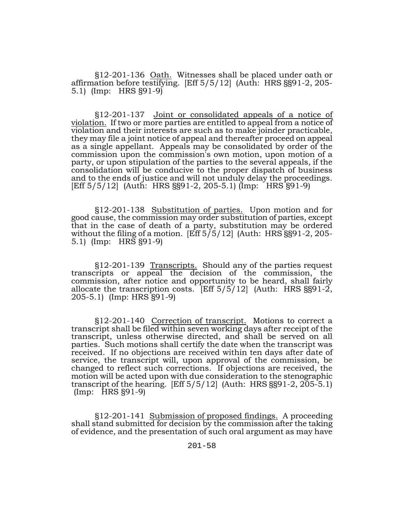§12-201-136 Oath. Witnesses shall be placed under oath or affirmation before testifying. [Eff 5/5/12] (Auth: HRS §§91-2, 205- 5.1) (Imp: HRS §91-9)

§12-201-137 Joint or consolidated appeals of a notice of violation. If two or more parties are entitled to appeal from a notice of violation and their interests are such as to make joinder practicable, they may file a joint notice of appeal and thereafter proceed on appeal as a single appellant. Appeals may be consolidated by order of the commission upon the commission's own motion, upon motion of a party, or upon stipulation of the parties to the several appeals, if the consolidation will be conducive to the proper dispatch of business and to the ends of justice and will not unduly delay the proceedings. [Eff 5/5/12] (Auth: HRS §§91-2, 205-5.1) (Imp: HRS §91-9)

§12-201-138 Substitution of parties. Upon motion and for good cause, the commission may order substitution of parties, except that in the case of death of a party, substitution may be ordered without the filing of a motion. [Eff 5/5/12] (Auth: HRS §§91-2, 205- 5.1) (Imp: HRS §91-9)

§12-201-139 Transcripts. Should any of the parties request transcripts or appeal the decision of the commission, the commission, after notice and opportunity to be heard, shall fairly allocate the transcription costs. [Eff  $5/5/12$ ] (Auth: HRS §§91-2, 205-5.1) (Imp: HRS §91-9)

§12-201-140 Correction of transcript. Motions to correct a transcript shall be filed within seven working days after receipt of the transcript, unless otherwise directed, and shall be served on all parties. Such motions shall certify the date when the transcript was received. If no objections are received within ten days after date of service, the transcript will, upon approval of the commission, be changed to reflect such corrections. If objections are received, the motion will be acted upon with due consideration to the stenographic transcript of the hearing.  $[Eff 5/5/12]$  (Auth: HRS  $\S 91-2, 205-5.1$ ) (Imp: HRS §91-9)

§12-201-141 Submission of proposed findings. A proceeding shall stand submitted for decision by the commission after the taking of evidence, and the presentation of such oral argument as may have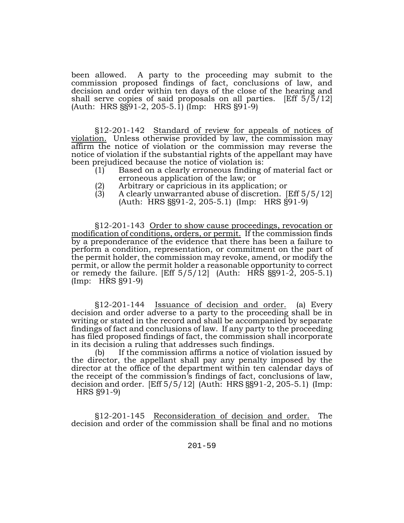been allowed. A party to the proceeding may submit to the commission proposed findings of fact, conclusions of law, and decision and order within ten days of the close of the hearing and shall serve copies of said proposals on all parties. [Eff 5/5/12] (Auth: HRS §§91-2, 205-5.1) (Imp: HRS §91-9)

§12-201-142 Standard of review for appeals of notices of violation. Unless otherwise provided by law, the commission may affirm the notice of violation or the commission may reverse the notice of violation if the substantial rights of the appellant may have been prejudiced because the notice of violation is:

- (1) Based on a clearly erroneous finding of material fact or erroneous application of the law; or
- (2) Arbitrary or capricious in its application; or
- A clearly unwarranted abuse of discretion. [Eff  $5/5/12$ ] (Auth: HRS §§91-2, 205-5.1) (Imp: HRS §91-9)

§12-201-143 Order to show cause proceedings, revocation or modification of conditions, orders, or permit. If the commission finds by a preponderance of the evidence that there has been a failure to perform a condition, representation, or commitment on the part of the permit holder, the commission may revoke, amend, or modify the permit, or allow the permit holder a reasonable opportunity to correct or remedy the failure.  $[Eff 5/5/12]$  (Auth: HRS §§91-2, 205-5.1) (Imp: HRS §91-9)

§12-201-144 Issuance of decision and order. (a) Every decision and order adverse to a party to the proceeding shall be in writing or stated in the record and shall be accompanied by separate findings of fact and conclusions of law. If any party to the proceeding has filed proposed findings of fact, the commission shall incorporate in its decision a ruling that addresses such findings.

(b) If the commission affirms a notice of violation issued by the director, the appellant shall pay any penalty imposed by the director at the office of the department within ten calendar days of the receipt of the commission's findings of fact, conclusions of law, decision and order. [Eff 5/5/12] (Auth: HRS §§91-2, 205-5.1) (Imp: HRS §91-9)

§12-201-145 Reconsideration of decision and order. The decision and order of the commission shall be final and no motions